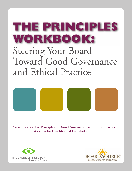# THE PRINCIPLES WORKBOOK: Steering Your Board Toward Good Governance and Ethical Practice



<sup>A</sup> companion to **The Principles for Good Governance and Ethical Practice: A Guide for Charities and Foundations**



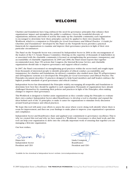## **WELCOME**

<span id="page-1-0"></span>Charities and foundations have long embraced the need for governance principles that enhance their organizations' impact and strengthen the public's confidence. Given the wonderful diversity of organizations, missions, and forms of activity that make up the charitable community, each organization is encouraged to determine how these principles can best be applied to their own situation.This Workbook, which is a companion to *Principles for Good Governance and Ethical Practice: A Guide for Charities and Foundations\** developed by the Panel on the Nonprofit Sector, provides a practical framework for organizations to examine and improve their governance practices in light of their own particular circumstances.

The Panel on the Nonprofit Sector was convened by Independent Sector in 2004 at the encouragement of the leaders of the U.S. Senate Finance Committee. Drawing on the expertise of thousands of stakeholders in or associated with the charitable community, it focused on strengthening the governance, transparency, and accountability of charitable organizations. In 2005 and 2006, the Panel issued reports that together recommended more than 150 actions that Congress, the Internal Revenue Service, and charitable organizations should take to improve governance and support ethical conduct.

In 2007, the Panel concentrated on strengthening good practices within the sector itself, and sought input from thousands of interested people to identify principles of ethical conduct, accountability, and transparency for charities and foundations.An advisory committee also studied more than 50 self-governance and self-regulatory systems as it developed the *Principles for Good Governance and Ethical Practice.* The Principles document describes 33 practices designed to help board members and staff leaders embrace the highest possible standards of good governance and ethical conduct.

Independent Sector has disseminated the Principles widely, encouraging all nonprofits and foundations to determine how best they should be applied to each organization.Thousands of organizations have already challenged themselves by examining their policies and practices in light of the Principles, often making changes to improve their governance.

This Workbook is designed to further assist organizations as they consider using the Principles to evaluate their own conduct. Independent Sector asked BoardSource to develop a tool to elucidate and expand the ideas behind each of the 33 principles, to make it easier for organizations to stimulate lively discussion around board governance and ethical practices.

We hope this tool will assist your efforts to assess the areas where you're doing well, identify where there is room for improvement, and then use your findings to make plans to improve your organization's operations and compliance.

Independent Sector and BoardSource share and applaud your commitment to governance excellence.That is why we created this tool and why we have named it a "Workbook." Governance is often hard work, and this tool can help your organization to delve into the critically important work of ensuring that together you are managing a first-rate organization.

Our best wishes,

Diana Aviv Linda Crompton Independent Sector BoardSource President and CEO President and CEO

**1**

\*Available for free download at Independent Sector's website. (www.independentsector.org)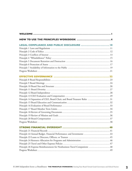<span id="page-2-0"></span>

| HOW TO USE THE PRINCIPLES WORKBOOK  4                                      |
|----------------------------------------------------------------------------|
| LEGAL COMPLIANCE AND PUBLIC DISCLOSURE  10                                 |
|                                                                            |
|                                                                            |
|                                                                            |
|                                                                            |
|                                                                            |
|                                                                            |
|                                                                            |
|                                                                            |
|                                                                            |
|                                                                            |
|                                                                            |
|                                                                            |
|                                                                            |
|                                                                            |
|                                                                            |
| Principle 14 Separation of CEO, Board Chair, and Board Treasurer Roles  31 |
|                                                                            |
|                                                                            |
|                                                                            |
|                                                                            |
|                                                                            |
|                                                                            |
|                                                                            |
|                                                                            |
|                                                                            |
| Principle 22 Annual Budget, Financial Performance, and Investments  43     |
|                                                                            |
| Principle 24 Resource Allocation for Programs and Administration  46       |
|                                                                            |
| Principle 26 Expense Reimbursement for Nonbusiness Travel Companions  48   |
|                                                                            |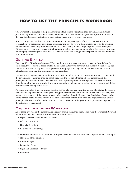# <span id="page-4-0"></span>**HOW TO USE THE PRINCIPLES WORKBOOK**

This Workbook is designed to help nonprofits and foundations strengthen their governance and ethical practices. Organizations of all sizes, fields, and mission areas will find that it provides a platform on which they can build discussions that serve their unique needs and level of development.

Not every topic will apply to every organization, and an important part of the process will be for your organization—whether long-established or just starting up—to review the principles in order to prioritize implementation. Many organizations will find that they already follow—or go beyond—these principles. Others may wish to make changes in their current practices, and some may conclude that certain principles do not apply to their organization.What is vital is to assess and strengthen your practices and the Workbook supports that work.

#### **GETTING STARTED**

First, identify a "Workbook champion." This may be the governance committee chair, the board chair, the chief executive, or another board or staff member. No matter who serves in this capacity, a champion plays an important role in acting as a clearinghouse for the project, making certain that tasks are allocated, and, ultimately, ensuring that the principles are implemented.

Discussion and implementation of the principles will be different for every organization.We recommend that the governance committee chair or board chair take the lead in advocating board discussion of the principles, in consultation with the chief executive. If your organization has a general counsel, he or she should play a leading role in reviewing your organization's policies and practices because each principle has related legal and compliance issues.

For some principles, it may be appropriate for staff to take the lead in reviewing and identifying the steps to take towards implementation. Some principles, particularly those in the section "Effective Governance," are uniquely the purview of the board, whereas others, such as those in "Responsible Fundraising," may involve both board and staff responsibilities. In all cases, however, whether discussion and implementation of any principle falls to the staff or to the board, the board's oversight of the policies and procedures expressed by the principles is paramount.

#### **ORGANIZATION OF THE WORKBOOK**

All of those involved in the discussion and review should familiarize themselves with the Workbook.You will note it is divided into the same four sections as the Principles:

- [Legal Compliance and Public Disclosure](#page-10-0)
- [Effective Governance](#page-22-0)
- [Financial Oversight](#page-40-0)
- [Responsible Fundraising](#page-50-0)

The Workbook addresses each of the 33 principles separately and features five main parts for each principle:

- Statement of the Principle
- Core Concepts
- Discussion Points
- Legal and Compliance Issues
- Resources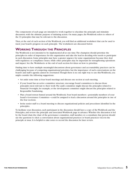The components of each page are intended to work together to elucidate the principle and stimulate discussion, with the ultimate purpose of initiating action. On many pages, the Workbook refers to others of the 33 principles that may be relevant to the discussion.

Then, at the end of each section of the Workbook, you will find an additional worksheet that can be used to track your board's progress on each principle. The worksheets are discussed below.

#### **WORKING THROUGH THE PRINCIPLES**

The Workbook is not intended to be implemented all at one time.The champion should prioritize the principles in order of importance for the organization and take the lead in deciding who needs to participate in each discussion. Some principles may have a greater urgency for some organizations because they deal with regulatory or compliance issues, while other principles may be important for strengthening operations and impact. See the Worksheets at the end of each section for ideas on how to prioritize.

Finding time to have multiple meaningful discussions about governance and accountability practices can be challenging because of competing organizational priorities, but the importance of such conversations on the board's and staff's agenda cannot be overstated.Though there is no one right way to use this Workbook, you might consider the following suggestions:

- Set aside some time at four board meetings and discuss one section at each meeting.
- If your board has an active committee structure, encourage board committees to discuss those principles most relevant to their work:The audit committee might discuss the principles related to Financial Oversight, for example, or the development committee might discuss the principles related to Responsible Fundraising.
- Plan a board retreat framed around the Workbook. Four board members—potentially members of your board's Governance Committee—could be assigned to lead a discussion around the principles in one of the four sections.
- Invite senior staff to a board meeting to discuss organizational policies and procedures identified in the principles.

To facilitate your discussion, each participant in the discussion should have a copy of the Workbook and the Principles, and review the principle and associated Workbook page in advance.Whether the discussion is led by the board chair, the chair of the governance committee, staff member, or a consultant, that person should use the questions to elicit a conversation about organizational practices or board practices vis-à-vis the principle at issue. It is helpful to take notes to record the discussion for later review.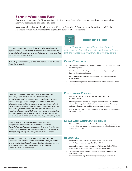#### **SAMPLE WORKBOOK PAGE**

One way to understand the Workbook is to dive into a page, learn what it includes, and start thinking about how your organization can utilize this tool.

As an example, below are the elements that illustrate Principle #2, from the Legal Compliance and Public Disclosure section, with comments to explain the purpose of each element:



#### **CODE OF ETHICS**

*The statement of the principle. Further clarification and expansion of each principle, as needed, is contained in the original Principles document, available for free download at www.independentsector.org.*

*The set of critical messages and implications to be derived from the principle.*

*A charitable organization should have a formally adopted, written code of ethics with which all of its directors or trustees, staff, and volunteers are familiar and to which they adhere.*

#### **CORE CONCEPTS**

- Laws provide minimum requirements for boards and organizations to remain compliant.
- Ethical standards extend legal requirements—not just doing things right but doing the right thing.
- A code of ethics codifies the organization's beliefs and values to which it aspires.
- A code of ethics provides a code of conduct for all those who work with the organization.

*Questions intended to prompt discussion about the principle, assess the policies and practices of your organization, and encourage your organization to take steps to identify where changes should be made.Your discussion need not be limited to these questions; instead, each set of questions should stimulate additional items as relevant to your organization's unique situation.The resulting discussion will help you move your organization toward applying the principle in the way that makes the most sense for your mission, size, and stage of development.*

*Each principle has, to varying degrees, legal and compliance implications.While the Workbook is not intended as legal advice, this section is meant to raise your board's awareness of the nexus between each principle and the legal, regulatory, and compliance issues it raises.*

*Resources clarify the core concepts derived from the Principles and provide additional information for board and organizational development.Additional resources are available through the Independent Sector website (www.independentsector.org).*

#### **DISCUSSION POINTS**

- 1. Have we articulated and agreed on the values that drive our organization?
- 2. What steps should we take to integrate our code of ethics into the culture of the organization? How have we ensured that directors, staff, and volunteers are familiar with our code of ethics?
- 3. How well is our code of ethics reflected in the organization's policies and procedures?

#### **LEGAL AND COMPLIANCE ISSUES**

• IRS Form 990 does not directly ask whether an organization has a code of ethics, but numerous questions relate to ethical standards and existence of policies.

#### **RESOURCES**

- Independent Sector Statement of Values and Code of Ethics *www.independentsector.org/about/code.html*
- Independent Sector Model Statement of Values and Code of Ethics *www.independentsector.org/members/code\_main.html*
- The Nonprofit Policy Sampler by Barbara Lawrence and Outi Flynn. BoardSource, 2006

*www.boardsource.org/Bookstore.asp?category\_id=0&Item=45*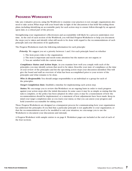#### **PROGRESS WORKSHEETS**

Like any evaluative process, using the Workbook to examine your practices is not enough: organizations also need to take action.What steps will your board take in light of the discussions it has held? Recording those plans, including identifying an accountable party for each action step to ensure follow-through by an agreedupon date, is a critical part of the process.

Strengthening your organization's effectiveness and accountability will likely be a process undertaken over time. At the end of each section of the Workbook, you will find Progress Worksheets to help you document the steps you've taken and identify what still needs to be done with regard to the recommendations of each principle and your discussion of its application.

The Progress Worksheets track the following information for each principle:

*Priority.* We suggest you set a priority between 1 and 3 for each principle based on whether

- 1. The item poses risks to the organization;
- 2. The item is important and needs some attention but the matters are not urgent; or
- 3. You are satisfied with the current status.

*Compliance Status and Action Steps.* As you examine how well you comply with each of the principles, you may identify actions that need to be taken. Describe your state of compliance at the time of your review of the principles and list the upcoming action steps your discussion identified.This will give the board and staff an overview of what has been accomplished prior to your review of the principles and what remains to be done.

*Who Is Responsible.* You should assign responsibility to an individual or a group for each of the principles.

*Target Completion Date.* Establish a timeline for implementing each action step.

*Status.* We encourage you to review this Worksheet on an ongoing basis in order to track progress against your action steps after the initial discussion. In some cases it may be as simple as stating that the task is complete, or the policy has been adopted. In other cases, it may be a reassessment of how the recommendation should be implemented, or a statement of how adjustments have been made.Keep in mind your target completion date as you track your status, so that you can assess your progress and hold yourselves accountable for taking action.

These Progress Worksheets are designed as a transparent process for communicating how your organization has addressed the principles. If you find that a particular principle is not applicable to your organization, or that the recommendations need to be modified to suit your situation, we encourage you to use the Worksheets to document your discussions and rationale.

A Progress Worksheet with sample entries is on page 8. Worksheet pages are included at the end of each of the four sections.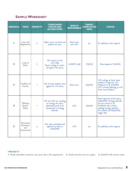#### **SAMPLE WORKSHEET**

| <b>PRINCIPLE</b> | <b>TOPIC</b>                                | <b>PRIORITY*</b> | <b>COMPLIANCE</b><br><b>STATUS AND</b><br><b>ACTION STEPS</b>                                                          | <b>WHO IS</b><br><b>RESPONSIBLE</b> | <b>TARGET</b><br><b>COMPLETION</b><br><b>DATE</b> | <b>STATUS</b>                                                                                                                                                                                 |
|------------------|---------------------------------------------|------------------|------------------------------------------------------------------------------------------------------------------------|-------------------------------------|---------------------------------------------------|-----------------------------------------------------------------------------------------------------------------------------------------------------------------------------------------------|
|                  | Laws and<br>Regulations                     | 3                | Bylaws were reviewed and<br>updated last year.                                                                         | Board chair<br>and CEO              | n/a                                               | No additional action required                                                                                                                                                                 |
| 2                | Code of<br>Ethics                           | $\mathbf{2}$     | HR worked on this<br>with staff.<br>Board waiting to review<br>and approve the policy.                                 | CEO/HR staff                        | 7/31/09                                           | Board approved 7/1/2009.                                                                                                                                                                      |
| 3                | Conflicts of<br>Interest                    | 1                | Not all board members have<br>signed the COI policy.                                                                   | Board chair                         | 6/30/09                                           | Still waiting on three board<br>members to sign the COI<br>statement as of 7/1/2009.<br>CFO actively following up with<br>these board members.                                                |
| 4                | "Whistle-<br>blower"<br>Policy              | 1                | HR and CEO are working<br>on revising the policy.<br>Information needs to be<br>incorporated in training<br>materials. | CEO                                 | 8/31/09                                           | Board approved revised policy<br>6/30/2009. Training materials<br>not yet revised as of<br>7/1/2009. HR actively<br>updating training materials.<br>On schedule for 8/31/2009<br>target date. |
| 5                | Document<br>Retention<br>and<br>Destruction | 3                | New policy developed and<br>approved by board on<br>12/4/2008.                                                         | CFO                                 | n/a                                               | No additional action required.                                                                                                                                                                |

#### **\*PRIORITY**

**1**. Needs immediate attention: may pose risk to the organization **2**. Needs attention but not urgent **3**. Satisfied with current status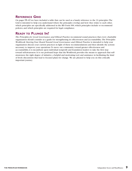On pages [59](#page-59-0)–63 we have included a table that can be used as a handy reference to the 33 principles.The Grid is intended to help you understand where the principles overlap and how they relate to each other, which principles are specifically addressed in the IRS Form 990, which principles include or recommend policies, and which principles are required for legal compliance.

#### **READY TO PLUNGE IN?**

*The Principles for Good Governance and Ethical Practice* recommend sound practices that every charitable organization should consider as a guide for strengthening its effectiveness and accountability. *The Principles Workbook: Steering Your Board Toward Good Governance and Ethical Practice* is intended to help your organization discuss your current practices in light of these recommendations and then identify the actions necessary to improve your operations.To move our community toward greater effectiveness and accountability, it is incumbent upon individual nonprofit and foundation leaders to take the first step toward self-awareness. It is our profound hope that the Workbook provides the means to approach that selfawareness: the right degree of initiative, a helpful and motivating tool, and assistance in facilitating the kind of lively discussions that lead to focused plans for change. We are pleased to help you on this critically important journey.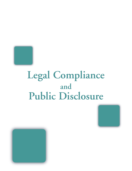<span id="page-10-0"></span>

# **Legal Compliance and Public Disclosure**



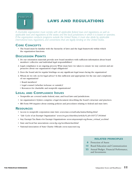<span id="page-11-0"></span>

# **LAWS AND REGULATIONS**

*A charitable organization must comply with all applicable federal laws and regulations, as well as applicable laws and regulations of the states and the local jurisdictions in which it is based or operates.* If the organization conducts programs outside the United States, it must also abide by applicable *international laws, regulations, and conventions that are legally binding on the United States.*

#### **CORE CONCEPTS**

• The board must be familiar with the hierarchy of laws and the legal framework within which the organization functions.

#### **DISCUSSION POINTS**

- 1. Do our orientation materials provide new board members with sufficient information about board members' collective and individual legal responsibilities?
- 2. Legal compliance is an ongoing process.What steps have we taken to ensure we stay current and are proactive about our organization's legal obligations?
- 3. Does the board ask for regular briefings on any significant legal issues facing the organization?
- 4. Whom do we rely on for legal advice? Is this sufficient and appropriate for the size and complexity of our organization?
	- Board members?
	- Legal counsel (whether in-house or outside)?
	- Resources for charitable and nonprofit organizations?

#### **LEGAL AND COMPLIANCE ISSUES**

- Nonprofits are covered under federal, state, and local laws and jurisdictions.
- An organization's bylaws comprise a legal document describing the board's structure and practices.
- IRS Form 990 inquires about existing policies and procedures relating to federal and state laws.

#### **RESOURCES**

- Access to nonprofit corporation state laws *www.law.cornell.edu/states/listing.html*
- "Life Cycle of an Exempt Organization" *www.irs.gov/charities/article/0,,id=169727,00.html*
- Stay Exempt:Tax Basics for Exempt Organizations *www.stayexempt.org/home\_virtual\_ws.html*
- State and local bar associations *www.hg.org/northam-bar.html*
- National Association of State Charity Officials *www.nasconet.org*

- **6** [Protection of Assets](#page-17-0)
- **15** [Board Education and Communication](#page-32-0)
- **22** [Annual Budget, Financial Performance,](#page-43-0)  and Investments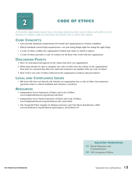<span id="page-12-0"></span>

# **CODE OF ETHICS**

*A charitable organization should have a formally adopted, written code of ethics with which all of its directors or trustees, staff, and volunteers are familiar and to which they adhere.*

#### **CORE CONCEPTS**

- Laws provide minimum requirements for boards and organizations to remain compliant.
- Ethical standards extend legal requirements—not just doing things right but doing the right thing.
- A code of ethics codifies the organization's beliefs and values to which it aspires.
- A code of ethics provides a code of conduct for all those who work with the organization.

#### **DISCUSSION POINTS**

- 1. Have we articulated and agreed on the values that drive our organization?
- 2. What steps should we take to integrate our code of ethics into the culture of the organization? How have we ensured that directors, staff, and volunteers are familiar with our code of ethics?
- 3. How well is our code of ethics reflected in the organization's policies and procedures?

#### **LEGAL AND COMPLIANCE ISSUES**

• IRS Form 990 does not directly ask whether an organization has a code of ethics, but numerous questions relate to ethical standards and existence of policies.

#### **RESOURCES**

- Independent Sector Statement of Values and Code of Ethics *<www.independentsector.org/about/code.html>*
- Independent Sector Model Statement of Values and Code of Ethics *[www.independentsector.org/members/code\\_main.html](www.independentsector.org/members/code_main.html)*
- The Nonprofit Policy Sampler by Barbara Lawrence and Outi Flynn. BoardSource, 2006 *[www.boardsource.org/Bookstore.asp?category\\_id=0&Item=45](www.boardsource.org/Bookstore.asp?category_id=0&Item=45)*

- **15** [Board Education and](#page-32-0)  Communication
- **30** [Gift Acceptance Policies](#page-54-0)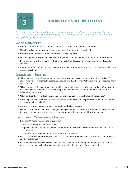<span id="page-13-0"></span>

# **CONFLICTS OF INTEREST**

*A charitable organization should adopt and implement policies and procedures to ensure that all conflicts of interest, or the appearance thereof, within the organization and the board are appropriately managed through disclosure, recusal, or other means.*

#### **CORE CONCEPTS**

- Conflicts of interest can be potential, perceived, or material, and all need attention.
- Not all conflicts of interest are illegal or unethical.They are often unavoidable.
- How the board handles conflicts of interest is vitally important.
- Only independent board members (see principle #12) should vote when a conflict of interest occurs.
- Board members with a material conflict of interest should recuse themselves from board discussions and votes.
- A written conflict-of-interest policy and corresponding disclosure form serve as the guide for addressing conflict situations.

#### **DISCUSSION POINTS**

- 1. What examples do we know where organizations were "damaged" by issues related to conflict of interest, or where a potentially damaging situation was handled well? Why must we be concerned about conflicts of interest?
- 2. What types of conflicts of interest might affect our organization, remembering conflicts of interest are not only financial in nature, as in supervising family members or soliciting the same funder for two different organizations?
- 3. What conflicts have we dealt with in the past and what did we learn from past experience?
- 4. What steps do we currently take to ensure that conflicts are handled appropriately? Are there additional steps we should be taking?
- 5. Are we proactive or reactive when it comes to conflicts of interest?
- 6. Do we have a conflict-of-interest policy, including an annual disclosure form? When did we last review it? How do we enforce it (e.g., cover in orientation, signed annually by all board members)?

#### **LEGAL AND COMPLIANCE ISSUES**

- IRS Form 990 asks whether the organization
	- has a written conflict-of-interest policy
- requires directors, officers, key employees, and others to annually disclose interests that could give rise to conflicts
- regularly monitors and enforces compliance with the policy
- IRS Form 990 also requires disclosure of certain transactions with current or former directors, officers, and key employees
- Board members must meet certain standards of legal conduct, including the duty of loyalty—which means putting personal and professional interests aside for the good of the organization.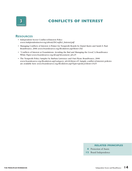

## **CONFLICTS OF INTEREST**

#### **RESOURCES**

- Independent Sector Conflict-of-Interest Policy *[www.independentsector.org/about/ISConflict\\_Interest.pdf](www.independentsector.org/about/ISConflict_Interest.pdf)*
- Managing Conflicts of Interest:A Primer for Nonprofit Boards by Daniel Kurtz and Sarah E. Paul. BoardSource, 2006 *<www.boardsource.org/Bookstore.asp?Item=182>*
- "Conflicts of Interest at Foundations: Avoiding the Bad and Managing the Good,"A BoardSource White Paper *[www.boardsource.org/dl.asp?document\\_id=25](www.boardsource.org/dl.asp?document_id=25)*
- The Nonprofit Policy Sampler by Barbara Lawrence and Outi Flynn. BoardSource, 2006 *[www.boardsource.org/Bookstore.asp?category\\_id=0&Item=45](www.boardsource.org/Bookstore.asp?category_id=0&Item=45)*. Sample conflict-of-interest policies are available here *<www.boardsource.org/Bookstore.asp?Type=epolicy&Item=1025>*

- **6** [Protection of Assets](#page-17-0)
- **12** [Board Independence](#page-28-0)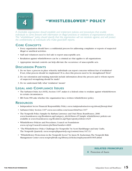<span id="page-15-0"></span>

## **"WHISTLEBLOWER" POLICY**

*A charitable organization should establish and implement policies and procedures that enable individuals to come forward with information on illegal practices or violations of organizational policies. This "whistleblower" policy should specify that the organization will not retaliate against, and will protect the confidentiality of, individuals who make good-faith reports.*

#### **CORE CONCEPTS**

- Every organization should have a confidential process for addressing complaints or reports of suspected illegal or unethical activities.
- Staff and volunteers need to feel safe to report unacceptable acts.
- Retaliation against whistleblowers can be a criminal act that applies to all organizations.
- Appropriate internal controls can help alleviate the occurrence of unacceptable acts.

#### **DISCUSSION POINTS**

- 1. Do we have a process in place whereby individuals can report concerns without fear of retaliation? If not, what process should we implement? If so, does this process need to be strengthened? How?
- 2. Do our orientation and training materials include information about the process and to whom reports of suspected wrongdoing should be made?
- 3. Do we understand fully what "retaliation" means?

#### **LEGAL AND COMPLIANCE ISSUES**

- The Sarbanes-Oxley Act (SOX), Section 1107, makes it a federal crime to retaliate against whistleblowers in certain circumstances.
- IRS Form 990 asks whether the organization has a written whistleblower policy.

#### **RESOURCES**

- Independent Sector Financial Responsibility Policy *www.independentsector.org/about/finresp.html*
- Sarbanes-Oxley Section 1107 *www.sox-online.com/soxact.html#sec1107*
- The Nonprofit Policy Sampler by Barbara Lawrence and Outi Flynn. BoardSource, 2006 *www.boardsource.org/Bookstore.asp?category\_id=0&Item=45* Sample whistleblower policies are available at *www.boardsource.org/Bookstore.asp?Type=epolicy&Item=1025*
- Whistleblower Policies and Procedures, Council on Foundations *www.cof.org/Council/content.cfm?ItemNumber=4826*
- "The Whistleblower: Policy Challenges for Nonprofits" by Scott Harshbarger and Amy Crafts, The Nonprofit Quarterly *www.nonprofitquarterly.org/content/view/167/1/*
- "Whistleblower Protections in the Nonprofit Sector" by Jason M. Zuckerman,The Nonprofit Risk Management Center *www.nonprofitrisk.org/library/articles/employment091005.shtml*

#### **RELATED PRINCIPLES**

**6** [Protection of Assets](#page-17-0)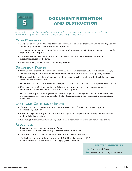<span id="page-16-0"></span>

# **DOCUMENT RETENTION AND DESTRUCTION**

*A charitable organization should establish and implement policies and procedures to protect and preserve the organization's important documents and business records.*

#### **CORE CONCEPTS**

- The board should understand the difference between document destruction during an investigation and document purging as a normal management process.
- A schedule for document retention is a necessary tool to ensure the retention of documents needed for legal or business purposes.
- The board should understand how an official investigation is defined and how to ensure the organization abides by the laws.
- An efficient filing system is critical for all organizations.

#### **DISCUSSION POINTS**

- 1. How can we assess whether we've established the necessary processes and procedures for managing and maintaining documents and then determine whether these steps are currently being followed?
- 2. How recently have we done a "document audit" in order to verify that all organizational documents are accessible and accounted for?
- 3. Do our document retention and destruction policies cover both our electronic and physical documents?
- 4. If we were ever under investigation, or if there is even a potential of being investigated, are we confident that we understand what we must do at that point?
- 5. Documents can provide some protection against allegations of wrongdoing.When assessing the risks our organization faces, have we considered what documents might assist in managing or minimizing these risks?

#### **LEGAL AND COMPLIANCE ISSUES**

- The document destruction clause in the Sarbanes-Oxley Act of 2004 in Section 802 applies to nonprofit organizations.
- It can be illegal to destroy any documents if the organization expects to be investigated or is already under official investigation.
- IRS Form 990 inquires whether an organization has a document retention and destruction policy.

#### **RESOURCES**

- Independent Sector Records Retention Policy *www.independentsector.org/about/ISRecordsRetentionPolicy.pdf*
- Sarbanes-Oxley Section 802 *www.sox-online.com/act\_section\_802.html*
- The Policy Sampler by Barbara Lawrence and Outi Flynn. BoardSource, 2006 *www.boardsource.org/Bookstore.asp?category\_id=0&Item=45*

- **6** [Protection of Assets](#page-17-0)
- **18** [Review of Governing Documents](#page-35-0)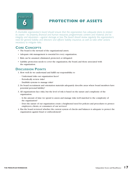<span id="page-17-0"></span>

# **PROTECTION OF ASSETS**

*A charitable organization's board should ensure that the organization has adequate plans to protect its assets—its property, financial and human resources, programmatic content and material, and its integrity and reputation—against damage or loss.The board should review regularly the organization's need for general liability and directors' and officers' liability insurance, as well as take other actions necessary to mitigate risks.*

#### **CORE CONCEPTS**

- The board is the steward of the organizational assets.
- Adequate risk management is essential for every organization.
- Risk can be assumed, eliminated, protected, or delegated.
- Liability protection needs to cover the organization, the board, and those associated with the organization.

#### **DISCUSSION POINTS**

- 1. How well do we understand and fulfill our responsibility to
	- Understand risks our organization faces?
	- Periodically review risks?
	- Establish systems to manage risks?
- 2. Do board recruitment and orientation materials adequately describe areas where board members have potential personal liability?
- 3. All organizations face risks, but the level of risk is based on the nature and complexity of the organization.
	- Is the amount of time we spend to assess and manage risks well matched to the complexity of the organization?
	- Does the nature of our organization create a heightened need for policies and procedures to protect employees, clients, or consumers of our services?
- 4. Has the board reviewed whether the current system of checks and balances is adequate to protect the organization against fraud or embezzlement?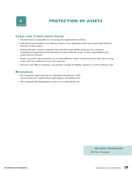

# **PROTECTION OF ASSETS**

#### **LEGAL AND COMPLIANCE ISSUES**

- The full board is responsible for overseeing the organization's activities.
- Individual board members have fiduciary duties to the organization and can be personally liable for breaches of those duties.
- Federal and state volunteer immunity laws provide broad liability protection for volunteers (including uncompensated board members) acting within the scope of their responsibilities but cannot prevent lawsuits.
- Boards can protect their members via an indemnification clause (if allowed by the state laws) as long as the assets are sufficient to cover the expenses.
- Directors' and Officers' insurance can provide coverage for liability expenses as well as defense costs.

#### **RESOURCES**

- The Nonprofit Legal Landscape by OberlKaler. BoardSource, 2005 *www.boardsource.org/Bookstore.asp?category\_id=0&Item=162*
- The Nonprofit Risk Management Center *www.nonprofitrisk.org*

#### **RELATED PRINCIPLES**

[All Other Principles](#page-2-0)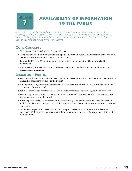<span id="page-19-0"></span>

# **AVAILABILITY OF INFORMATION TO THE PUBLIC**

*A charitable organization should make information about its operations, including its governance, finances, programs, and activities, widely available to the public. Charitable organizations also should consider making information available on the methods they use to evaluate the outcomes of their work and sharing the results of those evaluations.*

#### **CORE CONCEPTS**

- Transparency is essential to earn the public's trust.
- The board should understand what must be public information, what should be shared with the public, and what must be guarded as confidential information.
- Posting the IRS Form 990 on the Internet is the easiest way to meet the IRS public availability requirement.
- A professional, clear, accurate website promotes transparency and can act as a central repository for organizational information.

#### **DISCUSSION POINTS**

- 1. Have we established procedures to make sure our staff complies with the legal requirements for making certain IRS documents available to the public?
- 2. Are there other organizational and governance documents that we want to make available to the public as a matter of transparency?
- 3. What are some of the benefits of becoming more transparent and sharing organizational outcomes?
- 4. Has our organization made a "commitment" to be transparent? Have we identified other organizations that could serve as a model for us?
- 5. What steps can we take to optimize our website as a way to communicate and provide information with the public about our organization? What other methods of communication are we using or should we consider?
- 6. Traditionally, organizations have used an annual report to share important information. Have we considered all the options to assess what is the most cost-effective and useful way to share information with the public?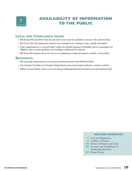

# **AVAILABILITY OF INFORMATION TO THE PUBLIC**

#### **LEGAL AND COMPLIANCE ISSUES**

- IRS Forms 990 and 990-T from the last three years must be available to anyone who asks for them.
- IRS Form 1023, the application form for tax exemption for charities, is also a public document.
- If the organization is a "covered entity" under the Health Insurance Portability and Accountability Act (HIPAA) rules, it needs guidelines for handling confidential documents.
- IRS Form 990 inquires about the process of making governing documents available to the public.

#### **RESOURCES**

- IRS reporting requirements *www.irs.gov/charities/article/0,,id=96581,00.html*
- Stay Exempt:Tax Basics for Exempt Organizations *www.stayexempt.org/home\_virtual\_ws.html*
- HIPAA Covered Entity Charts *www.cms.hhs.gov/hipaageninfo/downloads/coveredentitycharts.pdf*

- **1** [Laws and Regulations](#page-11-0)
- **13** [Conflicts of Interest](#page-13-0)
- **19** [Review of Mission and Goals](#page-36-0)
- **27** Accuracy and Truthfulness of Fundraising Materials
- **33** [Donor Privacy](#page-57-0)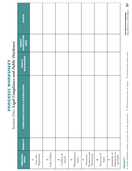<span id="page-21-0"></span>

|                                              | <b>STATUS</b>                               |                         |                                |                               |                                |                                                      |                                      |                                        |
|----------------------------------------------|---------------------------------------------|-------------------------|--------------------------------|-------------------------------|--------------------------------|------------------------------------------------------|--------------------------------------|----------------------------------------|
|                                              | TARGET<br>COMPLETION<br>DATE                |                         |                                |                               |                                |                                                      |                                      |                                        |
|                                              | WHO IS<br>RESPONSIBLE                       |                         |                                |                               |                                |                                                      |                                      |                                        |
| servicione mine interestingular santa montre | <b>COMPLIANCE STATUS &amp; ACTION STEPS</b> |                         |                                |                               |                                |                                                      |                                      |                                        |
|                                              | <b>PRIORITY*</b>                            |                         |                                |                               |                                |                                                      |                                      |                                        |
|                                              | <b>PRINCIPLE/</b><br><b>TOPIC</b>           | Regulations<br>Laws and | Code of Ethics<br>$\mathbf{a}$ | Conflicts of<br>Interest<br>m | "Whistleblower"<br>Policy<br>4 | Retention and<br>Destruction<br>Document<br><b>S</b> | Protection of<br>Assets<br>$\bullet$ | Information to<br>Availability of<br>N |

# PROGRESS WORKSHEET **PROGRESS WORKSHEET**

Section One: Legal Compliance and Public Disclosure Section One: *Legal Compliance and Public Disclosure*

Availability of Information to the Public

**Independent Sector and BoardSource 21**  $\overline{\mathbf{a}}$ **THE PRINCIPLES WORKBOOK**<br>Independent Sector and BoardSource **THE PRINCIPLES WORKBOOK** 

> 1. Needs immediate attention: may pose risk to the organization 2. Needs attention but not urgent 3. Satisfied with current status **1**. Needs immediate attention: may pose risk to the organization **2**. Needs attention but not urgent **3**. Satisfied with current status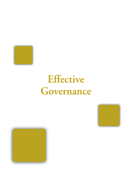<span id="page-22-0"></span>

# **Effective Governance**



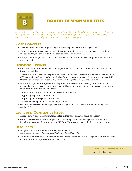<span id="page-23-0"></span>

# **BOARD RESPONSIBILITIES**

*A charitable organization must have a governing body that is responsible for reviewing and approving the organization's mission and strategic direction, annual budget and key financial transactions, compensation practices and policies, and fiscal and governance policies.*

#### **CORE CONCEPTS**

- The board is responsible for governing and overseeing the affairs of the organization.
- The organization's mission and strategic direction are set by the board in conjunction with the CEO and senior staff, and the results should then be used to guide decisions.
- Clear policies (compensation, fiscal, and governance) are critical to guide and protect the board and the organization.

#### **DISCUSSION POINTS**

- 1. Are we all aware of our collective board responsibilities? If not, how can we increase awareness of these responsibilities?
- 2. The mission should drive the organization's strategic direction.Therefore, it is important that the board, CEO, and senior staff agree on how to further the organization's mission. How close are we to this ideal? Does the board regularly review and approve any changes to the organization's mission?
- 3. One of the ways the board protects the organization's assets is by overseeing its fiscal affairs. How recently have we evaluated our performance in this area and looked for ways we could strengthen our oversight role related to the following?
	- Reviewing and approving the organization's annual budget
	- Approving key financial transactions
	- Approving fiscal and governance policies
	- Establishing compensation policies and practices
- 4. How has the board adapted our policies as the organization has changed? What more might we need to do?

#### **LEGAL AND COMPLIANCE ISSUES**

- All state laws require nonprofits incorporated in their state to have a board of directors.
- IRS Form 990 contains a series of questions concerning the board and its governance practices including a question asking whether the IRS Form 990 was provided to the full board for review.

#### **RESOURCES**

- Nonprofit Governance by Berit M. Lakey. BoardSource, 2000 *www.boardsource.org/Bookstore.asp?category\_id=0&Item=72*
- Ten Basic Responsibilities of Nonprofit Boards, Second Edition by Richard T. Ingram. BoardSource, 2009 *www.boardsource.org/Bookstore.asp?Item=112*

**RELATED PRINCIPLES**

[All Other Principles](#page-2-0)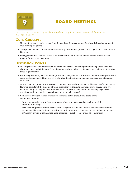<span id="page-24-0"></span>

## **BOARD MEETINGS**

*The board of a charitable organization should meet regularly enough to conduct its business and fulfill its duties.*

#### **CORE CONCEPTS**

- Meeting frequency should be based on the needs of the organization. Each board should determine its own meeting frequency.
- The optimal number of meetings changes during the different phases of the organization's and board's life cycle.
- Having committees and task forces is an effective way for boards to function more efficiently and prepare for full board meetings.

#### **DISCUSSION POINTS**

- 1. Most organizations define their own requirements related to meetings and notifying board members about meetings in their bylaws. Do we know what these bylaw requirements are, and are we following these requirements?
- 2. Is the length and frequency of meetings presently adequate for our board to fulfill our basic governance and oversight responsibilities as well as allowing time for strategic thinking and adequate discussion of issues?
- 3. New technology provides new ways of communicating as alternatives to holding face-to-face meetings. Have we considered the benefits of using technology to facilitate the work of our board? Have we modified our governing documents and checked applicable state laws to address any legal issues associated with meeting by teleconference or voting electronically?
- 4. Committees are often formed to facilitate the work of the board. If our board uses a committee structure:
	- Do we periodically review the performance of our committees and assess how well this structure is working?
	- Have we built provisions into our bylaws to safeguard against the abuse of power? Specifically, the bylaws should clarify the limits to authority for the executive committee. Are we following the letter of "the law" as well as maintaining good governance practices in our use of committees?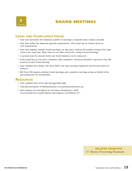

## **BOARD MEETINGS**

#### **LEGAL AND COMPLIANCE ISSUES**

- State laws determine the minimum number of meetings a nonprofit must conduct annually.
- State laws define the minimum quorum requirements. The board may be stricter about its own requirements.
- State laws regulate whether board meetings can take place without all members being in the same room at the same time. Many states do not allow electronic voting in board meetings.
- A quorum must be present before any board business can be transacted.
- If the board has an executive committee, that committee's decisions should be reported to the full board in its next board meeting.
- State sunshine laws define who must follow the open meeting regulations and the procedure for doing so.
- IRS Form 990 inquires whether board meetings and committee meetings acting on behalf of the governing body are documented.

#### **RESOURCES**

- State sunshine laws *www.rcfp.org/ogg/index.php*
- National Association of Parliamentarians *www.parliamentarians.org*
- Meet Smarter, Second Edition by Outi Flynn. BoardSource, 2009 *www.boardsource.org/Bookstore.asp?category\_id=0&Item=157*

#### **RELATED PRINCIPLE 18** Review of Governing Documents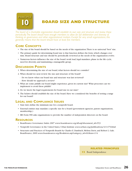<span id="page-26-0"></span>

## **BOARD SIZE AND STRUCTURE**

*The board of a charitable organization should establish its own size and structure and review these periodically.The board should have enough members to allow for full deliberation and diversity of thinking on governance and other organizational matters. Except for very small organizations, this generally means that the board should have at least five members.*

#### **CORE CONCEPTS**

- The size of the board should be based on the needs of the organization.There is no universal "best" size.
- The primary guide for determining board size is that function defines the form, which changes over time. Board structure and size should be periodically reviewed as the needs of the organization evolve.
- Numerous factors influence the size of the board: work load, legal mandates, phase in the life cycle, need for diversity, and maintaining a manageable group.

#### **DISCUSSION POINTS**

- 1. When determining the size of our board, what factors should we consider?
- 2. When should we next review the size and structure of the board?
	- Do we know when our board size and structure was last reviewed?
	- How should we approach a review?
- 3. What are some pitfalls our board might experience, given its current size? What processes can we implement to avoid these pitfalls?
- 4. Do we know the legal requirements for board size in our state?
- 5. The bylaws should establish the size of the board. Have we considered the benefits of setting a range for our board?

#### **LEGAL AND COMPLIANCE ISSUES**

- State laws define the minimum size for a nonprofit board.
- External entities may mandate a specific size for a board (government agencies, parent organizations, membership.)
- IRS Form 990 asks organizations to provide the number of independent directors on the board.

#### **RESOURCES**

- BoardSource Governance Index 2007 *www.boardsource.org/dl.asp?document\_id=553*
- Nonprofit Governance in the United States, Urban Institute *www.urban.org/publications/411479.html*
- Structures and Practices of Nonprofit Boards by Charles E. Dambach, Melissa Davis, and Robert L. Gale. BoardSource, 2009 *www.boardsource.org/Bookstore.asp?category\_id=0&Item=114*

#### **RELATED PRINCIPLES**

**12** [Board Independence](#page-28-0)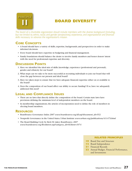<span id="page-27-0"></span>

# **BOARD DIVERSITY**

*The board of a charitable organization should include members with the diverse background (including, but not limited to, ethnic, racial, and gender perspectives), experience, and organizational and financial skills necessary to advance the organization's mission.*

#### **CORE CONCEPTS**

- A board should have a variety of skills, expertise, backgrounds, and perspectives in order to make informed decisions.
- Every board should have expertise in budgeting and financial management.
- Family foundations should balance the desire to involve family members and honor donors' intent with the need for professional expertise and diversity.

#### **DISCUSSION POINTS**

- 1. Have we identified the ideal mix of skills, knowledge, experience (professional and personal), gender, and ethnicity for our board?
- 2. What steps can we take to be more successful at recruiting individuals to join our board that will close the gap between our present and ideal board?
- 3. Have we taken steps to ensure that we have adequate financial expertise either on or available to the board?
- 4. Does the composition of our board affect our ability to secure funding? If so, have we adequately addressed this need?

#### **LEGAL AND COMPLIANCE ISSUES**

- There are no laws that directly define the composition of the board. Certain state laws have provisions defining the minimum level of independent members on the board.
- In membership organizations, the articles of incorporation need to define the role of members in electing board members.

#### **RESOURCES**

- BoardSource Governance Index 2007 *www.boardsource.org/dl.asp?document\_id=553*
- Nonprofit Governance in the United States, Urban Institute *www.urban.org/publications/411479.html*
- The Board Building Cycle by Berit M. Lakey. BoardSource, 2007 *www.boardsource.org/Bookstore.asp?category\_id=0&Item=1074*

- **10** [Board Size and Structure](#page-26-0)
- **12** [Board Independence](#page-28-0)
- **21** [Financial Records](#page-41-0)
- **22** [Annual Budget, Financial Performance,](#page-43-0)  and Investments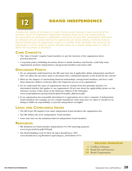<span id="page-28-0"></span>

# **BOARD INDEPENDENCE**

*A substantial majority of the board of a public charity, usually meaning at least two-thirds of the members, should be independent. Independent members should not: (1) be compensated by the organization as employees or independent contractors; (2) have their compensation determined by individuals who are compensated by the organization; (3) receive, directly or indirectly, material financial benefits from the organization except as a member of the charitable class served by the organization; or (4) be related to anyone described above (as a spouse, sibling, parent, or child) or reside with any person so described.*

#### **CORE CONCEPTS**

- The "duty of loyalty" requires board members to put the interests of the organization above personal interests.
- A nepotism policy, forbidding favoritism shown to family members and friends, could help some organizations promote independence among board members and senior staff.

#### **DISCUSSION POINTS**

- 1. Do we adequately understand how the IRS (and state law, if applicable) define independent members? Have we taken the necessary steps to document that a substantial majority of the board fits the criteria?
- 2. What are the dangers of "interlocking financial relationships" among board members, and how could these financial conflicts of interest affect the long-term success of an organization?
- 3. Do we understand the types of organizations that are exempt from this principle and have we determined whether this applies to our organization? (If not sure about the applicability, please see the reference section of this clause in the Reference Edition of the Principles *www.nonprofitpanel.org/report/principles/Principles\_Reference.pdf*)
- 4. If our organization has reasonably determined it is appropriate not to have a majority of independent board members (for example, we are a family foundation), what steps have we taken or should we be taking to fulfill our responsibility to provide independent oversight?

#### **LEGAL AND COMPLIANCE ISSUES**

- The IRS Form 990 inquires how many independent board members the organization has.
- The IRS defines the term "independent" board member.
- Some state laws set the minimum limit for independent board members.

#### **RESOURCES**

- IRS definition for board member independence for 990 reporting purposes *www.irs.gov/pub/irs-pdf/i990.pdf*
- The Board Building Cycle by Berit M. Lakey. BoardSource, 2007 *www.boardsource.org/Bookstore.asp?category\_id=0&Item=1074*

- **13** [Conflicts of Interest](#page-13-0)
- **10** [Board Size and Structure](#page-26-0)
- **20** [Board Compensation](#page-37-0)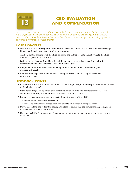<span id="page-29-0"></span>

# **CEO EVALUATION AND COMPENSATION**

*The board should hire, oversee, and annually evaluate the performance of the chief executive officer of the organization, and should conduct such an evaluation prior to any change in that officer's compensation, unless there is a multi-year contract in force or the change consists solely of routine adjustments for inflation or cost of living.*

#### **CORE CONCEPTS**

- One of the board's primary responsibilities is to select and supervise the CEO, thereby entrusting to him or her the daily management of the organization.
- The board is the supervisor of the chief executive and in that capacity should evaluate the chief executive's performance annually.
- Performance evaluation should be a formal, documented process that is based on a clear job description and includes mutually agreed-upon annual goals.
- Compensation must be reasonable but competitive enough to attract and retain highly qualified individuals.
- Compensation adjustments should be based on performance and tied to predetermined performance goals.

#### **DISCUSSION POINTS**

- 1. In the board's role as the supervisor of the CEO, what type of support and supervision do we provide to the chief executive?
- 2. If the board designates a portion of its responsibility to evaluate and compensate the CEO to a committee, what responsibilities must be retained by the full board?
- 3. Do we use an adequate process to evaluate the performance of the CEO?
	- Is the full board involved and informed?
	- Is the CEO's performance always evaluated prior to an increase in compensation?
- 4. Do we understand and follow the appropriate steps to ensure that the compensation package paid to the chief executive is reasonable?
- 5. Have we established a process and documented the information that supports our compensation decisions?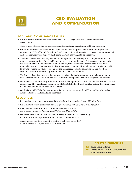<span id="page-30-0"></span>

# **CEO EVALUATION AND COMPENSATION**

#### **LEGAL AND COMPLIANCE ISSUES**

- Written annual performance assessment can serve as a legal document during employment disagreements.
- The payment of excessive compensation can jeopardize an organization's IRS tax exemption.
- Under the Intermediate Sanctions and foundation excise tax provisions, the IRS can impose tax penalties on CEOs of  $501(c)(3)$  and  $501(c)(4)$  organizations who receive excessive compensation and on board members who approve such compensation knowing it to be excessive.
- The Intermediate Sanctions regulations set out a process for awarding CEO compensation that can establish a presumption of reasonableness in the event of an IRS audit.This process requires having the decision made by independent board members, using comparable market data to establish reasonableness, and documenting the board decision in minutes.Although not specifically applicable to private foundations, this process under the Intermediate Sanctions regulations can also help establish the reasonableness of private foundation CEO compensation.
- The Intermediate Sanctions regulations also establish a limited protection for initial compensation decisions that follow certain procedures.There is no comparable provision for private foundations.
- On the IRS Form 990, the organization must list the compensation of the CEO, as well as other officers, directors, and key employees earning over \$100,000. Schedule J must be filled out for those individuals whose total compensation exceeds \$150,000.
- On IRS Form 990-PF, the foundation must list the compensation of the CEO, as well as other officers, directors, trustees, and foundation managers.

#### **RESOURCES**

- Intermediate Sanctions *[www.irs.gov/charities/charitable/article/0,,id=123298,00.html](http://www.irs.gov/charities/charitable/article/0,,id=123298,00.html)*
- IRS Definition of key employees *[www.irs.gov/charities/article/0,,id=185428,00.html](http://www.irs.gov/charities/article/0,,id=185428,00.html)*
- Chief Executive Transitions by Don Tebbe. BoardSource, 2008 *www.boardsource.org/Bookstore.asp?Type=new&Item=1086*
- Dollars and Sense by Brian H.Vogel and Charles W. Quatt. BoardSource, 2005 *www.boardsource.org/Bookstore.asp?category\_id=0&Item=166*
- Assessment of the Chief Executive, Online tool. BoardSource, 2005 *www.boardsource.org/Bookstore.asp?Item=168*

- **12** [Board Independence](#page-28-0)
- **14** [Separation of CEO, Board Chair, and](#page-31-0)  Board Treasurer Roles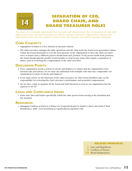<span id="page-31-0"></span>

# **SEPARATION OF CEO, BOARD CHAIR, AND BOARD TREASURER ROLES**

*The board of a charitable organization that has paid staff should ensure that the positions of chief staff officer, board chair, and board treasurer are held by separate individuals. Organizations without paid staff should ensure that the positions of board chair and treasurer are held by separate individuals.*

#### **CORE CONCEPTS**

- Segregation of duties is a key element in internal controls.
- The chief executive manages the daily operations and the chair leads the board in its governance duties. Unless the board determines it is in the best interests of the organization to have the chief executive serve as board chair, a different person should hold each position. If one person holds both positions, the board should appoint another board member to lead on any issues that require a separation of duties, such as reviewing the compensation of the chief executive.

#### **DISCUSSION POINTS**

- 1. Every organization needs a system of checks and balances to ensure that the organization's best interests take precedence. Do we have any individual with multiple roles that may compromise our organization's system of checks and balances?
- 2. If our chair carries on the functions of the chief executive, do other board members take on the responsibility for reviewing the chief executive's performance and potential compensation?
- 3. Do we have a plan to separate all the board and staff functions as soon as our organization has the capacity to do so?

#### **LEGAL AND COMPLIANCE ISSUES**

• Some state laws and bylaws specifically forbid the same person from serving as the president and the treasurer.

#### **RESOURCES**

• Managing Conflicts of Interest:A Primer for Nonprofit Boards by Daniel L. Kurtz and Sarah E. Paul. BoardSource, 2006 *www.boardsource.org/Bookstore.asp?Item=182* 

- **1** [Laws and Regulations](#page-11-0)
- **13** [Conflicts of Interest](#page-13-0)
- **12** [Board Independence](#page-28-0)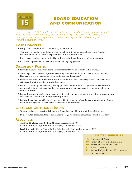<span id="page-32-0"></span>

# **BOARD EDUCATION AND COMMUNICATION**

*The board should establish an effective, systematic process for educating and communicating with board members to ensure that they are aware of their legal and ethical responsibilities, are knowledgeable about the programs and activities of the organization, and can carry out their oversight functions effectively.*

#### **CORE CONCEPTS**

- Every board member should have a clear job description.
- Thorough orientation provides new board members with an understanding of their fiduciary responsibilities and establishes expectations for board performance.
- Every board member should be familiar with the activities and purpose of the organization.
- Board development and education should be an ongoing process.

#### **DISCUSSION POINTS**

- 1. How effectively do we orient new board members? Do we do it orally and in writing?
- 2. What steps have we taken to provide necessary training and information to our board members? How can we provide additional resources to our board members?
- 3. Have we adequately informed board members about the personal liability they have for the board's actions and what protection is available to them?
- 4. Boards can learn by understanding leading practices in nonprofit board governance. Do our board members have a way of assessing their performance and practices against common practices for nonprofit boards?
- 5. Do our board members have the necessary information about programs and activities to make informed decisions? What can we do to improve this process?
- 6. Do board members individually take responsibility for coming to board meetings prepared to discuss issues on the agenda? Do we need to take action to improve this?

#### **LEGAL AND COMPLIANCE ISSUES**

- To protect themselves against liability, board members should know their legal obligations.
- In most states, corporate statutes enumerate the legal responsibilities associated with board service.

#### **RESOURCES**

- The Board Building Cycle by Berit M. Lakey. BoardSource, 2007 *www.boardsource.org/Bookstore.asp?category\_id=0&Item=1074*
- Legal Responsibilities of Nonprofit Boards by Bruce R. Hopkins. BoardSource, 2009 *www.boardsource.org/Bookstore.asp?category\_id=0&Item=116*

- **6** Protection of Assets
- **18** Review of Governing Documents
- **19** [Review of Mission and Goals](#page-36-0)
- **21** [Financial Records](#page-41-0)
- **22** [Annual Budget, Financial Performance,](#page-43-0)  and Investments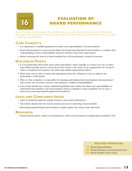<span id="page-33-0"></span>

# **EVALUATION OF BOARD PERFORMANCE**

*Board members should evaluate their performance as a group and as individuals no less frequently than every three years, and should have clear procedures for removing board members who are unable to fulfill their responsibilities.*

#### **CORE CONCEPTS**

- It is important to establish guidelines for duties and responsibilities of board members.
- Board self-assessment is a process that allows the board and individual board members to evaluate their understanding of their responsibilities and how well they meet their expectations.
- Before renewing the term of a board member, his or her performance should be assessed.

#### **DISCUSSION POINTS**

- 1. It is recommended that boards assess their performance either annually or at least every two to three years.What schedule, process, and tools are best suited to the needs of our organization? Do we know what is considered best practice and what steps similar organizations follow?
- 2. What steps can we take to ensure that information from the evaluation is used to improve the performance of the board?
- 3. Who or what committee is responsible for initiating and leading board development and assessment? Does it have the necessary resources and authority to fulfill its responsibilities?
- 4. Every board should have clearly established guidelines that outline the duties and responsibilities of individual board members. Are board members held accountable to these standards? Do we have a process for removing nonperforming board members?

#### **LEGAL AND COMPLIANCE ISSUES**

- Some accreditation agencies require boards to assess their performance.
- The bylaws should state the reasons and the process for removing a board member.
- Removing nonperforming board members usually requires the action of the full board.

#### **RESOURCES**

• Board Self-Assessment, Online tool. BoardSource, 2009 *www.boardsource.org/Bookstore.asp?Item=184*

- **8** Board Responsibilities
- **15** [Board Education and Communication](#page-32-0)
- **17** [Board Member Term Limits](#page-34-0)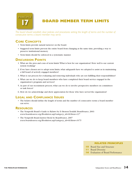<span id="page-34-0"></span>

**BOARD MEMBER TERM LIMITS**

*The board should establish clear policies and procedures setting the length of terms and the number of consecutive terms a board member may serve.*

#### **CORE CONCEPTS**

- Term limits provide natural turnover on the board.
- Staggered term limits prevent the entire board from changing at the same time, providing a way to preserve institutional memory.
- Term limits should be enforced in a systematic manner.

#### **DISCUSSION POINTS**

- 1. What are the pros and cons of term limits? What is best for our organization? How well is our current system working?
- 2. If we have chosen not to adopt term limits, what safeguards have we adopted to assist us in maintaining a full board of actively engaged members?
- 3. What is our process for evaluating and removing individuals who are not fulfilling their responsibilities?
- 4. What can we do to keep board members who have completed their board service engaged in the organization's programs and services?
- 5. As part of our recruitment process, what can we do to involve prospective members on committees or task forces?
- 6. How do we acknowledge and show appreciation for those who have served the organization?

#### **LEGAL AND COMPLIANCE ISSUES**

• The bylaws should define the length of terms and the number of consecutive terms a board member can serve.

#### **RESOURCES**

- The Nonprofit Board's Guide to Bylaws by D. Benson Tesdahl. BoardSource, 2003 *www.boardsource.org/Bookstore.asp?category\_id=0&Item=127*
- The Nonprofit Board Answer Book by BoardSource, 2007 *www.boardsource.org/Bookstore.asp?category\_id=0&Item=1075*

- **10** Board Size and Structure
- **11** [Board Diversity](#page-27-0)
- **16** [Evaluation of Board Performance](#page-33-0)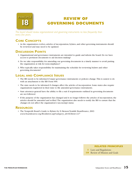<span id="page-35-0"></span>

# **REVIEW OF GOVERNING DOCUMENTS**

*The board should review organizational and governing instruments no less frequently than every five years.*

#### **CORE CONCEPTS**

• As the organization evolves, articles of incorporation, bylaws, and other governing instruments should be reviewed and may need to be updated.

#### **DISCUSSION POINTS**

- 1. Organizational and governance instruments are intended to guide and inform the board. Do we have access to pertinent documents to aid decision making?
- 4. Do we take responsibility for amending our governing documents in a timely manner to avoid putting the organization at risk for noncompliance?
- 3. Who typically takes responsibility for maintaining the schedule for reviewing bylaws and other governing documents?

#### **LEGAL AND COMPLIANCE ISSUES**

- The IRS needs to be informed if major governance instruments or policies change.This is easiest to do with an attachment to the IRS Form 990.
- The state needs to be informed if changes affect the articles of incorporation. Some states also require organizations registered in their state to file amended governance instruments.
- State attorneys general have the ability to file a suit if requirements outlined in governing documents are not followed.
- If the purpose of the organization has changed and it no longer follows the articles of incorporation, the articles should be amended and re-filed.The organization also needs to notify the IRS to ensure that the changes do not affect the organization's tax-exempt status.

#### **RESOURCES**

• The Nonprofit Board's Guide to Bylaws by D. Benson Tesdahl. BoardSource, 2003 *www.boardsource.org/Bookstore.asp?category\_id=0&Item=127* 

#### **RELATED PRINCIPLES**

**11** [Laws and Regulations](#page-11-0) 

**19** [Review of Mission and Goals](#page-36-0)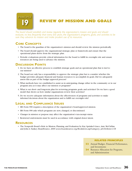<span id="page-36-0"></span>

**REVIEW OF MISSION AND GOALS**

*The board should establish and review regularly the organization's mission and goals and should evaluate, no less frequently than every five years, the organization's programs, goals, and activities to be sure they advance its mission and make prudent use of its resources.*

#### **CORE CONCEPTS**

- The board is the guardian of the organization's mission and should review the mission periodically.
- The board should approve the organizational strategic plan or framework and ensure that the operational plans derive from the strategic plan.
- Periodic evaluations provide critical information for the board to fulfill its oversight role and ensure resources are being used to advance the mission.

#### **DISCUSSION POINTS**

- 1. Do we have an effective process to establish strategic goals and an operational plan that is tied to our mission?
- 2. The board not only has a responsibility to approve the strategic plan but to consider whether the budget provides adequate financial and human resources to accomplish its goals. Did we adequately assess this as part of the budget approval process?
- 3. What methods have we established to assist us in anticipating change either in the community or in our program area as it may affect our mission or programs?
- 4. What is our short- and long-term plan for reviewing programs, goals, and activities? Do we have a good model that shows us how similar organizations review their activities?
- 5. Do we receive adequate information about the effectiveness of programs and activities to make informed decisions about the organization and to fulfill our oversight role?

#### **LEGAL AND COMPLIANCE ISSUES**

- IRS Form 990 requires a description of the organization's board-approved mission.
- IRS Form 990 asks which programs are new, changed, or discontinued.
- Changes in mission or purpose may affect the organization's tax-exempt status.
- Restricted endowments must be used in accordance with original donor intent.

#### **RESOURCES**

• The Nonprofit Board's Role in Mission, Planning, and Evaluation by Kay Sprinkel Grace, Amy McClellan, and John A.Yankey. BoardSource, 2009 *www.boardsource.org/Bookstore.asp?category\_id=0&Item=118* 

- **22** [Annual Budget, Financial Performance,](#page-43-0)  and Investments
- 24 [Resource Allocation for Programs,](#page-46-0) and Administration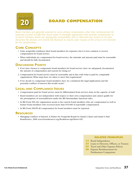<span id="page-37-0"></span>

# **BOARD COMPENSATION**

*Board members are generally expected to serve without compensation, other than reimbursement for expenses incurred to fulfill their board duties. A charitable organization that provides compensation to its board members should use appropriate comparability data to determine the amount to be paid, document the decision, and provide full disclosure to anyone, upon request, of the amount and rationale for the compensation.*

#### **CORE CONCEPTS**

- Some nonprofits reimburse their board members for expenses, but it is less common to receive compensation for board service.
- When individuals are compensated for board service, the rationale and amount paid must be reasonable and should be fully documented.

#### **DISCUSSION POINTS**

- 1. If we have chosen to compensate board members for board service, have we adequately documented the amount of compensation and reasons for doing so?
- 2. Compensation for board service must be reasonable and in line with what is paid by comparable organizations. What steps have we taken to meet this requirement?
- 3. If we decide to compensate board members, have we considered the legal implications and the potential conflicts of interest this would create?

#### **LEGAL AND COMPLIANCE ISSUES**

- Compensation paid for board service must be differentiated from services done in the capacity of staff.
- Board members are not independent with respect to their own compensation and cannot qualify for the presumption of reasonableness under the IRS Intermediate Sanctions rules.
- In IRS Form 990, the organization needs to list current board members who are compensated as well as former board members who received more than \$10,000 of reportable compensation.
- In IRS Form 990-PF, all compensation for board members must be reported.

#### **RESOURCES**

• Managing Conflicts of Interest: A Primer for Nonprofit Boards by Daniel L Kurtz and Sarah E. Paul BoardSource, 2006 *www.boardsource.org/Bookstore.asp?Item=182* 

- **12** [Board Independence](#page-28-0)
- 23 [Loans to Directors, Officers, or Trustees](#page-45-0)
- **25** Travel and Other Expense Policies
- **26** [Expense Reimbursement for](#page-48-0)  Nonbusiness Companions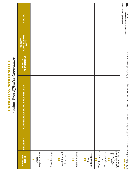<span id="page-38-0"></span>

| PRINCIPLE/<br>TOPIC                                                                                                          | <b>PRIORITY*</b> | <b>COMPLIANCE STATUS &amp; ACTION STEPS</b> | WHO IS<br>RESPONSIBLE | <b>TARGET<br/>COMPLETION</b><br>DATE | <b>STATUS</b>            |
|------------------------------------------------------------------------------------------------------------------------------|------------------|---------------------------------------------|-----------------------|--------------------------------------|--------------------------|
| Responsibilities<br>Board<br>$\infty$                                                                                        |                  |                                             |                       |                                      |                          |
| <b>Board Meetings</b><br>O                                                                                                   |                  |                                             |                       |                                      |                          |
| Board Size and<br>Structure<br>$\overline{\phantom{a}}$                                                                      |                  |                                             |                       |                                      |                          |
| <b>Board Diversity</b>                                                                                                       |                  |                                             |                       |                                      |                          |
| Independence<br>Board<br>$\overline{\mathbf{a}}$                                                                             |                  |                                             |                       |                                      |                          |
| CEO Evaluation<br>Compensation<br>and<br>$\mathbf{u}$                                                                        |                  |                                             |                       |                                      |                          |
| $\begin{tabular}{ c } \hline Separation ofCEO, BoardChain, and BoardTreasure Roles\\ \hline \end{tabular}$<br>$\overline{4}$ |                  |                                             |                       |                                      |                          |
|                                                                                                                              |                  |                                             |                       |                                      | (continued on next page) |

# PROGRESS WORKSHEET **PROGRESS WORKSHEET**

Section Two: Effective Governance Section Two**:** *Effective Governance*

> **\*PRIORITY \*PRIORITY**

1. Needs immediate attention: may pose risk to the organization 2. Needs attention but not urgent 3. Satisfied with current status **1**. Needs immediate attention: may pose risk to the organization **2**. Needs attention but not urgent **3**. Satisfied with current status

38 **Independent Sector and BoardSource 38 THE PRINCIPLES WORKBOOK**<br>Independent Sector and BoardSource **THE PRINCIPLES WORKBOOK**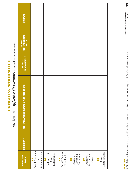| l      |  |
|--------|--|
|        |  |
| È<br>ĺ |  |
|        |  |
|        |  |

Section Two:  $\textit{Effective Gevnance}$  continued from previous page) Section Two**:** *Effective Governance* (continued from previous page)

| <b>STATUS</b>                               |                                              |                                                    |                             |                                                                      |                                                |                             |
|---------------------------------------------|----------------------------------------------|----------------------------------------------------|-----------------------------|----------------------------------------------------------------------|------------------------------------------------|-----------------------------|
| TARGET<br>COMPLETION<br>DATE                |                                              |                                                    |                             |                                                                      |                                                |                             |
| NHO IS                                      |                                              |                                                    |                             |                                                                      |                                                |                             |
| <b>COMPLIANCE STATUS &amp; ACTION STEPS</b> |                                              |                                                    |                             |                                                                      |                                                |                             |
| <b>PRIORITY*</b>                            |                                              |                                                    |                             |                                                                      |                                                |                             |
| PRINCIPLE/<br>TOPIC                         | Board Education<br>and<br>Communication<br>Ľ | <b>16</b><br>Evaluation of<br>Performance<br>Board | Board Member<br>Term Limits | Documents<br>Governing<br>Review of<br>$\mathbf{\underline{\omega}}$ | Mission and<br>Review of<br>Goals<br>$\bullet$ | Compensation<br>20<br>Board |

3. Satisfied with current status

39

**1**. Needs immediate attention: may pose risk to the organization **2**. Needs attention but not urgent **3**. Satisfied with current status 1. Needs immediate attention: may pose risk to the organization 2. Needs attention but not urgent

**\*PRIORITY**

**\*PRIORITY**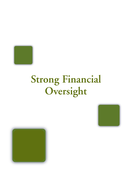<span id="page-40-0"></span>

# **Strong Financial Oversight**



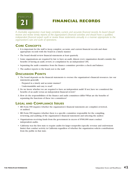<span id="page-41-0"></span>

# **FINANCIAL RECORDS**

*A charitable organization must keep complete, current, and accurate financial records. Its board should receive and review timely reports of the organization's financial activities and should have a qualified, independent financial expert audit or review these statements annually in a manner appropriate to the organization's size and scale of operations.*

#### **CORE CONCEPTS**

- It is important for the staff to keep complete, accurate, and current financial records and share appropriate records with the board in a timely manner.
- The board should review financial statements at least quarterly.
- Some organizations are required by law to have an audit. Almost every organization should consider the benefits of having an audit, review, or compilation by an independent CPA.
- Separating the audit committee from the finance committee provides a check and balance.
- The auditor reports to the board, not to the staff.

#### **DISCUSSION POINTS**

- 1. The board depends on the financial statements to oversee the organization's financial resources. Are our statements generally
	- Prepared in a timely and accurate manner?
	- Understandable and easy to read?
- 2. Do we know whether we are required to have an independent audit? If not, have we considered the benefits of an audit versus an independent financial review?
- 3. How do the responsibilities of the finance and audit committees differ? What are the benefits of separating the functions of these two committees?

#### **LEGAL AND COMPLIANCE ISSUES**

- IRS Form 990 inquires whether the organization's financial statements are compiled, reviewed, or audited.
- IRS Form 990 inquires whether there is a specific committee responsible for the compiling, reviewing, and auditing of the organization's financial statements and selecting the auditor.
- Organizations receiving funds from the government in excess of \$500,000 must conduct independent audits.
- California was the first state to require audits for larger nonprofits (specific revenue and endowment limits) that conduct activity in California regardless of whether the organization solicits contributions from the public in that state.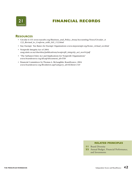

# **FINANCIAL RECORDS**

#### **RESOURCES**

- Circular A-133 *www.nacubo.org/Business\_and\_Policy\_Areas/Accounting/News/Circular\_A-133\_Revised\_to\_Conform\_with\_SAS\_112.html*
- Stay Exempt: Tax Basics for Exempt Organizations *www.stayexempt.org/home\_virtual\_ws.html*
- Nonprofit Integrity Act of 2004 *[caag.state.ca.us/charities/publications/nonprofit\\_integrity\\_act\\_nov04.pdf](caag.state.ca.us/charities/publications/nonprofit_integrity_act_nov04.pdf)*
- "The Sarbanes-Oxley Act and Implications for Nonprofit Organizations" *www.boardsource.org/dl.asp?document\_id=558*
- Financial Committees by Thomas A. McLaughlin. BoardSource, 2004 *www.boardsource.org/Bookstore.asp?category\_id=0&Item=149*

- **11** [Board Diversity](#page-27-0)
- **22** [Annual Budget, Financial Performance,](#page-43-0)  and Investments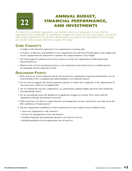<span id="page-43-0"></span>

# **ANNUAL BUDGET, FINANCIAL PERFORMANCE, AND INVESTMENTS**

*The board of a charitable organization must institute policies and procedures to ensure that the organization (and, if applicable, its subsidiaries) manages and invests its funds responsibly, in accordance with all legal requirements.The full board should review and approve the organization's annual budget and should monitor actual performance against the budget.*

#### **CORE CONCEPTS**

- A budget is the financial expression of an organization's yearlong plan.
- As bearers of fiduciary responsibility for the organization, the full board should approve the budget and receive regular financial statements to monitor the implementation of the budget.
- The board approves policies and reviews reports to ensure the organization is following sound financial practices.
- Whatever the level of operational reserves or an endowment, the board needs to establish policies for managing and investing these funds.

#### **DISCUSSION POINTS**

- 1. How well do we review financial reports and monitor the organization's financial performance? Do all board members have a fundamental understanding of our financial reports?
- 2. Do we need to upgrade the board's financial expertise to match the complexity of the organization? If necessary, how could we accomplish this?
- 3. Are we making the relevant comparisons, e.g., performance against budget, previous year's financials, and appropriate ratios?
- 4. Do we periodically assess the likelihood of significant changes in revenue? How well could the organization manage fluctuations in income?
- 5. What steps have we taken to ensure that the accounting firm we have selected for our audit meets the IRS's definition of "independent"?
- 6. Has the organization established a reserve fund and if so, have policies been established that
	- Assess the organization's risk tolerance?
	- Oversee the management of the investments?
	- Establish minimum and maximum amounts to be kept in reserve?
	- Establish guidelines for the appropriate use of reserves?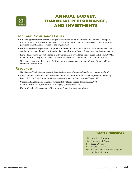

# **ANNUAL BUDGET, FINANCIAL PERFORMANCE, AND INVESTMENTS**

#### **LEGAL AND COMPLIANCE ISSUES**

- IRS Form 990 inquires whether the organization relies on an independent accountant to compile, review, or audit its financial statements.The key is an independent accountant—a person who is not providing other financial services to the organization.
- IRS Form 990 asks organizations to provide information about the value and use of endowment funds and board-designated funds that function like an endowment (also referred to as quasi-endowments).
- Private foundations may not engage in risky investments or will face excise taxes. In IRS Form 990-PF, foundations need to provide detailed information about their investment practices and results.
- Most states have laws that govern the investment, management, and expenditure of funds held by charitable organizations.

#### **RESOURCES**

- Stay Exempt:Tax Basics for Exempt Organizations *www.stayexempt.org/home\_virtual\_ws.html*
- Who's Minding the Money? An Investment Guide for Nonprofit Board Members, Second Edition, by Robert P. Fry, Jr. BoardSource, 2009 *www.boardsource.org/Bookstore.asp?Item=1090*
- Understanding Nonprofit Financial Statements by Steven Berger. BoardSource, 2008 *www.boardsource.org/Bookstore.asp?category\_id=0&Item=1082*
- Uniform Prudent Management of Institutional Funds Act *www.upmifa.org*

- **13** [Conflicts of Interest](#page-13-0)
- **6** [Protection of Assets](#page-17-0)
- **11** [Board Diversity](#page-27-0)
- **21** [Financial Records](#page-41-0)
- 24 Resource Allocation for Programs and Administration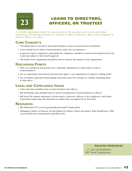<span id="page-45-0"></span>

# **LOANS TO DIRECTORS, OFFICERS, OR TRUSTEES**

*A charitable organization should not provide loans (or the equivalent, such as loan guarantees, purchasing or transferring ownership of a residence or office, or relieving a debt or lease obligation) to directors, officers, or trustees.*

#### **CORE CONCEPTS**

- Providing loans to executives and board members creates real and perceived problems.
- Loans should not be made to board members under any circumstances.
- In general, loans to employees, particularly key employees, should be reviewed and understood by the board and subject to the board's approval.
- The funds of the organization should be used to advance the mission of the organization.

#### **DISCUSSION POINTS**

- 1. Why is it considered bad practice for a charitable organization to make loans to staff or board members?
- 2. Do we understand what federal and state laws apply to our organization in regard to making loans?
- 3. Do our bylaws expressly forbid making such loans, and if not, should we consider amending them to that effect?

#### **LEGAL AND COMPLIANCE ISSUES**

- Some state laws prohibit loans to board members and officers.
- IRS self-dealing rules prohibit loans by private foundations to board members or officers.
- IRS Form 990 requires disclosure of loans made to directors, officers, or key employees. Such loans, if permitted under state law, should be at market rates and approved by the board.

#### **RESOURCES**

- IRS Publication 557 *www.irs.gov/publications/p557/index.html*
- Managing Conflicts of Interest, Second Edition by Daniel L. Kurtz and Sarah E. Paul. BoardSource, 2006 *www.boardsource.org/Bookstore.asp?Item=182*

- **1** [Laws and Regulations](#page-11-0)
- **20** [Board Compensation](#page-37-0)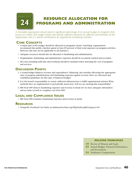# <span id="page-46-0"></span>**PRINCIPLE**

# **RESOURCE ALLOCATION FOR PROGRAMS AND ADMINISTRATION**

*A charitable organization should spend a significant percentage of its annual budget on programs that pursue its mission.The budget should also provide sufficient resources for effective administration of the organization, and, if it solicits contributions, for appropriate fundraising activities.*

#### **CORE CONCEPTS**

- A major part of the budget should be allocated to programs. (Some "watchdog" organizations recommend that public charities spend at least 65 percent of their total expenses on program activities. However, this may not be applicable to all charities.)
- Adequate resources should also be allocated to fundraising and administration.
- Programmatic, fundraising, and administrative expenses should be accurately tracked and recorded.
- All costs, including staff time and overhead, should be included when assessing the cost of programs and services.

#### **DISCUSSION POINTS**

- 1. A sound budget balances revenue and expenditures;"balancing" also includes allocating the appropriate ratio of program, administration, and fundraising expenses against revenue. Have we discussed and established guidelines for this type of balanced budget?
- 2. It is the board's responsibility to ensure sufficient infrastructure to fulfill organizational mission.What methods have we implemented to periodically assess how well we are meeting this responsibility?
- 3. IRS Form 990 dissects fundraising expenses and revenue in detail. Do we have adequate information and accurate records to complete our Form 990?

#### **LEGAL AND COMPLIANCE ISSUES**

• IRS Form 990 examines fundraising expenses and revenue in detail.

#### **RESOURCES**

• Nonprofit Overhead Cost Study *[nccsdataweb.urban.org/FAQ/index.php?category=40](http://nccsdataweb.urban.org/FAQ/index.php?category=40)* 

- **19** [Review of Mission and Goals](#page-36-0)
- **22** [Annual Budget, Financial Performance,](#page-43-0)  and Investments
- **32** [Fundraiser Compensation](#page-56-0)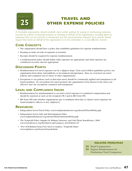<span id="page-47-0"></span>

# **TRAVEL AND OTHER EXPENSE POLICIES**

*A charitable organization should establish clear, written policies for paying or reimbursing expenses incurred by anyone conducting business or traveling on behalf of the organization, including types of expenses that can be paid for or reimbursed and the documentation required. Such policies should require that travel on behalf of the organization is to be undertaken in a cost-effective manner.*

#### **CORE CONCEPTS**

- The organization should have a policy that establishes guidelines for expense reimbursement.
- Keeping accurate records of expenses is essential.
- Receipts should be required for expense reimbursement.
- A reimbursement policy should define what expenses are appropriate and what expenses are considered excessive and not appropriate.

#### **DISCUSSION POINTS**

- 1. Reimbursement for travel expenses can be a slippery slope. Clear, easy-to-follow guidelines protect our organization from abuse, bad publicity, or inconsistent interpretation. Have we reviewed our travel policies and compared ours to those of other organizations?
- 2. Exceptions to our policies, such as first-class travel, should be consistently applied and transparent to all board members. Do our policies for travel promote the organization's best interest in the most costeffective way? Are exceptions consistent and transparent?

#### **LEGAL AND COMPLIANCE ISSUES**

- Reimbursement for unsubstantiated or excessive travel expenses is considered compensation and should be reported as such on the recipient's W-2 and in IRS Form 990.
- IRS Form 990 asks whether organizations pay or reimburse first-class or charter travel expenses for board members, officers, or key employees.

#### **RESOURCES**

- Independent Sector Travel Policy *www.independentsector.org/about/ISTravelPolicy.pdf*
- Independent Sector Gifts and Entertainment Policy *www.independentsector.org/about/ISEntertainmentPolicy.pdf*
- The Nonprofit Policy Sampler by Barbara Lawrence and Outi Flynn. BoardSource, 2006 *www.boardsource.org/Bookstore.asp?category\_id=0&Item=45*
- "Five SOX-Related Issues You Need to Analyze," Nonprofit Times *www.nptimes.com/howtos/boards.html*

- **20** [Board Compensation](#page-37-0)
- **26** Expense Reimbursement for [Nonbusiness Travel Companions](#page-48-0)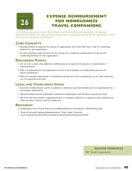<span id="page-48-0"></span>

# **EXPENSE REIMBURSEMENT FOR NONBUSINESS TRAVEL COMPANIONS**

*A charitable organization should neither pay for nor reimburse travel expenditures for spouses, dependents or others who are accompanying someone conducting business for the organization unless they, too, are conducting such business.*

#### **CORE CONCEPTS**

- Reimbursement of expenses for spouses is appropriate only when they have a role in conducting business for the organization.
- In other situations, paid expenses for the spouse are considered compensation for the person conducting business for the organization.

#### **DISCUSSION POINTS**

- 1. Do we have a policy that addresses reimbursement of expenses for spouses or dependents of board members?
- 2. Why is it important for our organization to have a clear position on reimbursing expenses for travel companions?
- 3. When it is deemed appropriate to reimburse expenses for travel companions, are we clear when this is to be reported as income?

#### **LEGAL AND COMPLIANCE ISSUES**

- Excessive reimbursement can be considered a deliberate personal benefit and is not appropriate for a tax-exempt organization.
- Spousal reimbursement is generally considered compensation and should be reported as such.
- IRS Form 990 asks whether organizations pay or reimburse spousal or companion travel expenses for board members, officers, and key employees.

#### **RESOURCES**

- Independent Sector Travel Policy *[www.independentsector.org/about/ ISTravelPolicy.pdf](www.independentsector.org/about/ISTravelPolicy.pdf)*
- "Board & Spousal Expense Reimbursement," Notre Dame University *www.controller.nd.edu/policies-and-procedures/board-and-spousal.shtml*

#### **RELATED PRINCIPLES**

**20** [Board Compensation](#page-37-0)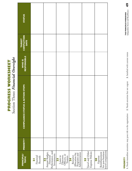<span id="page-49-0"></span>

| <b>PRINCIPLE/</b><br><b>TOPIC</b>                                              | <b>PRIORITY*</b> | COMPLIANCE STATUS & ACTION STEPS | WHO IS<br>RESPONSIBLE | TARGET<br>COMPLETION<br><b>DATE</b> | <b>STATUS</b> |
|--------------------------------------------------------------------------------|------------------|----------------------------------|-----------------------|-------------------------------------|---------------|
| Financial<br>Records<br>$\overline{a}$                                         |                  |                                  |                       |                                     |               |
| Performance, and<br>Annual Budget,<br>Investments<br>Financial                 |                  |                                  |                       |                                     |               |
| Loans to<br>Directors,<br>Officers, or<br>Trustees<br><b>23</b>                |                  |                                  |                       |                                     |               |
| Administration<br>Allocation for<br>Programs and<br>Resource<br>24             |                  |                                  |                       |                                     |               |
| Travel and Other<br>Expense Policies<br>25                                     |                  |                                  |                       |                                     |               |
| travel companions<br>for non-business<br>Expense<br>Reimbursement<br><b>26</b> |                  |                                  |                       |                                     |               |

# PROGRESS WORKSHEET **PROGRESS WORKSHEET**

Section Three: Financial Oversight Section Three**:** *Financial Oversight*

 $\frac{4}{3}$ **Independent Sector and BoardSource 49 THE PRINCIPLES WORKBOOK**<br>Independent Sector and BoardSource **THE PRINCIPLES WORKBOOK**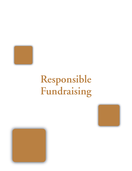<span id="page-50-0"></span>

# **Responsible Fundraising**



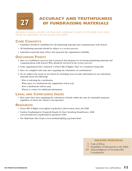<span id="page-51-0"></span>

# **ACCURACY AND TRUTHFULNESS OF FUNDRAISING MATERIALS**

*Solicitation materials and other communications addressed to donors and the public must clearly identify the organization and be accurate and truthful.*

#### **CORE CONCEPTS**

- Guidelines should be established for all fundraising materials and communication with donors.
- All fundraising materials should be subject to a review process.
- Solicitation materials must reflect and represent the organization truthfully.

#### **DISCUSSION POINTS**

- 1. Have we established a process that is practical and adequate for reviewing fundraising materials and communications with donors? Who should be involved in the review process?
- 2. Some organizations have endorsed "A Donor Bill of Rights." Have we considered doing this?
- 3. Have we complied with state laws regarding the solicitation of contributions?
- 4. Do we address the needs of our donors by including clear, accurate information in our solicitation materials about the following?
	- Who is soliciting the contribution
	- What types of contributions the organization will accept
	- How contributions will be used
	- Whom to contact for additional information

#### **LEGAL AND COMPLIANCE ISSUES**

• Most states have laws regulating the solicitation of funds within the state for charitable purposes, regardless of where the charity is incorporated.

#### **RESOURCES**

- Donor Bill of Rights *www.afpnet.org/ka/ka-3.cfm?content\_item\_id=9988*
- Fearless Fundraising for Nonprofit Boards, by Dave Sternberg. BoardSource, 2008 *www.boardsource.org/Bookstore.asp?Item=1085*
- The Multi-State Filer Project *www.multistatefiling.org/index.html*

- **22** [Code of Ethics](#page-12-0)
- **27** [Availability of Information to the Public](#page-19-0)
- **29** [Acknowledgment of Tax-deductible](#page-53-0)  **Contributions**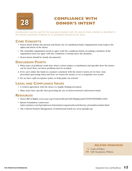<span id="page-52-0"></span>

# **COMPLIANCE WITH DONOR'S INTENT**

*Contributions must be used for the purposes consistent with the donor's intent, whether as described in the relevant solicitation materials or as specifically directed by the donor.*

#### **CORE CONCEPTS**

- Donor intent defines the present and future use of contributed funds. Organizations must respect the rights and intent of the donor.
- The charitable organization needs to agree with the conditions before accepting a donation. If the organization does not agree with the conditions, it should reject the donation.
- Donor intent should be clearly documented.

#### **DISCUSSION POINTS**

- 1. What types of problems could arise when a donor makes a contribution and specifies how the money can be used? How can these problems best be avoided?
- 2. If we can't utilize the funds in a manner consistent with the donor's intent, do we have clear procedures governing when and how we return the money or try to negotiate new terms?
- 3. Do we have a gift acceptance policy to help guide our actions?

#### **LEGAL AND COMPLIANCE ISSUES**

- A written agreement with the donor is a legally binding document.
- Many states have specific laws governing the use of donor-restricted endowment funds.

#### **RESOURCES**

- Donor Bill of Rights *www.case.org/Content/AboutCASE/Display.cfm?CONTENTITEMID=2569*
- Barnes Foundation controversy *[topics.nytimes.com/top/reference/timestopics/organizations/b/barnes\\_foundation/index.html](topics.nytimes.com/top/reference/timestopics/organizations/b/barnes_foundation/index.html)*
- The Uniform Prudent Management of Institutional Funds Act *www.upmifa.org*

#### **RELATED PRINCIPLES**

**22** [Code of Ethics](#page-12-0)

**30** [Gift Acceptance Policies](#page-54-0)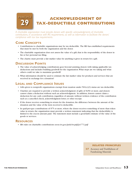# <span id="page-53-0"></span>**PRINCIPLE ACKNOWLEDGMENT OF TAX-DEDUCTIBLE CONTRIBUTIONS**

*A charitable organization must provide donors with specific acknowledgments of charitable contributions, in accordance with IRS requirements, as well as information to facilitate the donors' compliance with tax law requirements.*

#### **CORE CONCEPTS**

- Contributions to charitable organizations may be tax deductible. The IRS has established requirements that must be met by both the organization and the donor.
- The charitable organization does not assess the value of a gift; that is the responsibility of the donor in his or her personal tax filing.
- The charity must provide a fair market value for anything it gives in return for a gift.

#### **DISCUSSION POINTS**

- 1. The value of acknowledging contributions goes beyond assisting donors with taking applicable tax deductions and includes building goodwill for the organization.What steps are we taking and what others could we take to maximize goodwill?
- 2. What information should be used to estimate the fair market value for products and services that are received in exchange for a donation?

#### **LEGAL AND COMPLIANCE ISSUES**

- Gifts given to nonprofit organizations exempt from taxation under  $501(c)(3)$  status are tax deductible.
- Charities are required to provide a written acknowledgment of gifts of \$250 or more, and donors cannot claim a deduction without such an acknowledgment. In addition, donors cannot claim a deduction for any cash contribution, regardless of amount, without written evidence of the contribution such as a cancelled check, acknowledgment letter, or other receipt.
- If the donor receives something in return for the donation, the difference between the amount of the donation and the value of the item received is deductible.
- In quid-pro-quo contributions of \$75 or more, where the donor receives something of more than token value in return, the organization must provide a written statement indicating that the deductibility is limited to the excess amount paid. The statement must include a good-faith estimate of the value of the goods or services.

#### **RESOURCES**

• IRS rules on charitable contributions *www.irs.gov/pub/irs-pdf/p1771.pdf* 

#### **RELATED PRINCIPLES**

**27** Accuracy and Truthfulness of Fundraising Materials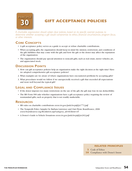<span id="page-54-0"></span>

# **GIFT ACCEPTANCE POLICIES**

*A charitable organization should adopt clear policies, based on its specific exempt purpose, to determine whether accepting a gift would compromise its ethics, financial circumstances, program focus, or other interests.*

#### **CORE CONCEPTS**

- A gift acceptance policy serves as a guide to accept or refuse charitable contributions.
- When accepting gifts, the organization should keep in mind the mission, restrictions, and conditions of the gift; liabilities that may come with the gift; and how the gift or the donor may affect the reputation of the organization.
- The organization should pay special attention to noncash gifts, such as real estate, motor vehicles, art, and appreciated stock.

#### **DISCUSSION POINTS**

- 1. How can gift acceptance policies help an organization make the right decision at the right time? Have we adopted comprehensive gift acceptance policies?
- 2. What examples are we aware of where organizations have encountered problems by accepting gifts?
- 3. What procedures would we follow if we unexpectedly received a gift that exceeded all expectations and went well beyond the typical gift?

#### **LEGAL AND COMPLIANCE ISSUES**

- If the donor imposes too many restrictions on the use of the gift, the gift may lose its tax deductibility.
- The IRS Form 990 asks whether organizations have a gift acceptance policy requiring the review of nonstandard gifts, such as property that is not readily marketable.

#### **RESOURCES**

- IRS rules on charitable contributions *www.irs.gov/pub/irs-pdf/p1771.pdf*
- The Nonprofit Policy Sampler by Barbara Lawrence and Outi Flynn. BoardSource, 2006 *www.boardsource.org/Bookstore.asp?category\_id=0&Item=45*
- A Donor's Guide to Vehicle Donations *www.irs.gov/pub/irs-pdf/p4303.pdf*

#### **RELATED PRINCIPLES**

**22** [Code of Ethics](#page-12-0)

28 [Compliance with Donor's Intent](#page-52-0)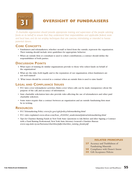<span id="page-55-0"></span>

# **OVERSIGHT OF FUNDRAISERS**

*A charitable organization should provide appropriate training and supervision of the people soliciting funds on its behalf to ensure that they understand their responsibilities and applicable federal, state and local laws, and do not employ techniques that are coercive, intimidating, or intended to harass potential donors.*

#### **CORE CONCEPTS**

- Fundraisers and telemarketers, whether on-staff or hired from the outside, represent the organization. Their training should include strict guidelines for appropriate behavior.
- When an outside firm or consultant is used to solicit contributions, a contract should define the responsibilities of both parties.

#### **DISCUSSION POINTS**

- 1. What types of training do similar organizations provide to those who solicit funds on behalf of the organization?
- 2. What are the risks, both legally and to the reputation of our organization, when fundraisers are not well trained?
- 3. What issues should be covered in a contract when an outside firm is used to raise funds?

#### **LEGAL AND COMPLIANCE ISSUES**

- FCC laws cover telemarketer activities. Rules cover when calls can be made, transparency about the purpose of the call, and accuracy of information.
- State charitable solicitation laws also provide rules affecting the use of telemarketers and other paid charitable solicitors.
- Some states require that a contract between an organization and an outside fundraising firm must be in writing.

#### **RESOURCES**

- FCC Telemarketing Policy *www.fcc.gov/cgb/policy/telemarketing.html*
- FCC rules explained *www.ehow.com/how\_2036902\_understand-federal-telemarketing.html*
- Tips for Charities Raising Funds in New York State: Questions to Ask Before and After Signing a Contract with a Fund Raising Professional, New York State Attorney General's Charities Bureau *www.oag.state.ny.us/bureaus/charities/pdfs/charities\_raising\_funds.pdf*

- **27** Accuracy and Truthfulness of Fundraising Materials
- **28** Compliance with Donor's Intent
- **30** [Gift Acceptance Policies](#page-54-0)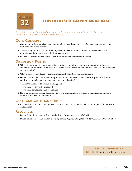<span id="page-56-0"></span>

**FUNDRAISER COMPENSATION**

*A charitable organization should not compensate internal or external fundraisers based on a commission or a percentage of the amount raised.*

#### **CORE CONCEPTS**

- Compensation for fundraising activities should be based on general performance and commensurate with time and effort expended.
- Those raising funds on behalf of the organization need to uphold the organization's values and reputation and the donor's trust in the organization.
- Policies for raising funds need to cover both internal and external fundraisers.

#### **DISCUSSION POINTS**

- 1. Why is it important for our organization to establish a policy regarding compensation of internal and external fundraisers? What resources have we used or should we be using to ensure our guidelines are appropriate?
- 2. What is the potential harm of compensating fundraisers based on commission?
- 3. Do we have an adequate orientation process for our fundraising staff? Does this process ensure that employees are informed and educated about the following?
	- Information related to our fundraising policies
	- How their work will be evaluated
	- How their compensation is determined
- 4. Have we compared our fundraising policies and compensation practices to organizations similar to ours? Has this been documented?

#### **LEGAL AND COMPLIANCE ISSUE**

• Intermediate Sanctions define penalties for excessive compensation, which can apply to fundraisers in certain cases.

#### **RESOURCES**

- Donor Bill of Rights *www.afpnet.org/ka/ka-3.cfm?content\_item\_id=9988*
- Ethical Principles for Fundraisers *www.afpnet.org/ka/ka-3.cfm?folder\_id=897&content\_item\_id=1068*

#### **RELATED PRINCIPLES**

**13** [CEO Evaluation and Compensation](#page-29-0)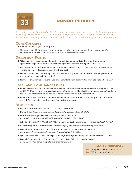<span id="page-57-0"></span>

# **DONOR PRIVACY**

*A charitable organization should respect the privacy of individual donors and, except where disclosure is required by law, should not sell or otherwise make available the names and contact information of its donors without providing them an opportunity at least once a year to opt out of the use of their names.*

#### **CORE CONCEPTS**

- Charities should respect donor privacy.
- Nonprofits should always provide an option to members, customers, and donors to opt out of the inclusion of their names in lists to be sold, rented, or otherwise shared.

#### **DISCUSSION POINTS**

- 1. What steps are considered good practice for maintaining donor lists? Have we developed the appropriate steps to ensure we are maintaining and accurately updating our donor lists?
- 2. How easily can donors "opt-out" when they are not interested in receiving additional information or want to be removed from lists shared with the public?
- 3. Do we have an adequate privacy policy that can be easily found and informs interested parties about the use of their personal information?
- 4. How does transparency about the use of donor information preserve the trust and support of donors?

#### **LEGAL AND COMPLIANCE ISSUES**

- Public charities and private foundations must file donor information with their IRS Form 990, 990-EZ, or 990-PF. However, the names and addresses of donors to public charities are treated as confidential by the IRS. Donor information for private foundations is open for public inspection.
- Healthcare organizations need to determine whether Health Insurance Portability and Accountability Act (HIPAA) regulations apply to their fundraising procedures.

#### **RESOURCES**

- HIPAA regulations *www.hhs.gov/ocr/privacy/index.html*
- Donor Bill of Rights *www.afpnet.org/ka/ka-3.cfm?content\_item\_id=9988*
- Ethical Fundraising by Janice Gow Pettey.Wiley & Sons, 2008 *www.wiley.com/WileyCDA/WileyTitle/productCd-0470225211.html*
- Schedule B (Form 990, 990-EZ, or 990-PF) General Instructions *www.irs.gov/pub/irs-pdf/f990ezb.pdf*
- E-Philanthropy Code of Ethics *www.fundraising123.org/article/ephilanthropy-code-ethics*
- Federal Trade Commission,"Facts for Consumers Charitable Donations: Give or Take?" *www.ftc.gov/bcp/edu/pubs/consumer/telemarketing/tel01.shtm*
- Q&A: The National Do Not Call Registry *www.ftc.gov/bcp/edu/pubs/consumer/alerts/alt107.shtm*
- Federal Communications Commission,"Fax Advertising: What You Need to Know" *www.fcc.gov/cgb/consumerfacts/unwantedfaxes.html*

- 28 Compliance with Donor's Intent
- **30** [Gift Acceptance Policies](#page-54-0)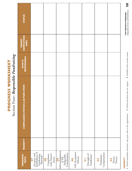<span id="page-58-0"></span>

|                                                             | <b>STATUS</b>                               |                                                                   |                                            |                                                                |                                              |                                               |                                  |                        |
|-------------------------------------------------------------|---------------------------------------------|-------------------------------------------------------------------|--------------------------------------------|----------------------------------------------------------------|----------------------------------------------|-----------------------------------------------|----------------------------------|------------------------|
|                                                             | COMPLETION<br><b>TARGET</b>                 |                                                                   |                                            |                                                                |                                              |                                               |                                  |                        |
|                                                             | WHO IS<br>RESPONSIBLE                       |                                                                   |                                            |                                                                |                                              |                                               |                                  |                        |
| Section Four: Responsible Fundraising<br>PROGRESS WORKSHEET | <b>CTION STEPS</b><br>COMPLIANCE STATUS & A |                                                                   |                                            |                                                                |                                              |                                               |                                  |                        |
|                                                             | <b>PRIORITY*</b>                            |                                                                   |                                            |                                                                |                                              |                                               |                                  |                        |
|                                                             | <b>PRINCIPLE/</b><br><b>TOPIC</b>           | Accuracy and<br>Truthfulness of<br>Fundraising<br>Materials<br>27 | with Donor's<br>Compliance<br>Intent<br>28 | Acknowledgement<br>of Tax<br>Contributions<br>Deductible<br>29 | Gift Acceptance<br>Policies<br>$\frac{0}{2}$ | Oversight of<br>Fundraisers<br>$\overline{5}$ | Compensation<br>Fundraiser<br>32 | Donor<br>Privacy<br>32 |

# **\*PRIORITY \*PRIORITY**

1. Needs immediate attention: may pose risk to the organization 2. Needs attention but not urgent 3. Satisfied with current status **1**. Needs immediate attention: may pose risk to the organization **2**. Needs attention but not urgent **3**. Satisfied with current status

**Independent Sector and BoardSource 58 THE PRINCIPLES WORKBOOK**<br>Independent Sector and BoardSource **THE PRINCIPLES WORKBOOK** 

58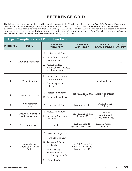<span id="page-59-0"></span>The following pages are intended to provide a quick reference to the 33 principles. Please refer to *Principles for Good Governance and Ethical Practice: A Guide for Charities and Foundations,* as well as the contents of this workbook, for a more detailed explanation of what should be considered when examining each principle.The Reference Grid will assist you in determining how the principles relate to each other and where they overlap, which principles are addressed in the Form 990, which principles include or recommend policies, and which principles are required for legal compliance.

|                  |                                                 | <b>Legal Compliance and Public Disclosure</b>                                                                                                                                       |                                                                |                                                        |                              |
|------------------|-------------------------------------------------|-------------------------------------------------------------------------------------------------------------------------------------------------------------------------------------|----------------------------------------------------------------|--------------------------------------------------------|------------------------------|
| <b>PRINCIPLE</b> | <b>TOPIC</b>                                    | <b>RELATED</b><br><b>PRINCIPLES</b>                                                                                                                                                 | <b>FORM 990</b><br><b>AND 990-PF</b>                           | <b>POLICY</b><br><b>RECOMMENDED</b>                    | <b>MUST</b><br><b>COMPLY</b> |
| ш                | Laws and Regulations                            | 6 Protection of Assets<br>15 Board Education and<br>Communication<br>22 Annual Budget,<br>Financial Performance,<br>and Investments                                                 |                                                                |                                                        | X                            |
| 2                | Code of Ethics                                  | 15 Board Education and<br>Communication<br>30 Gift Acceptance<br>Policies                                                                                                           |                                                                | Code of Ethics                                         |                              |
| 3                | Conflicts of Interest                           | 6 Protection of Assets<br>12 Board Independence                                                                                                                                     | Part VI, Line 12 and<br>Line 19                                | Conflict-of-Interest<br>Policy                         |                              |
| 4                | "Whistleblower"<br>Policy                       | 6 Protection of Assets                                                                                                                                                              | Part VI, Line 13                                               | Whistleblower<br>Policy                                |                              |
| 5                | <b>Document Retention</b><br>and Destruction    | 6 Protection of Assets<br>18 Review of Governing<br>Documents                                                                                                                       | Part VI, Line 14 and<br>Schedule E                             | Document<br>Retention and<br><b>Destruction Policy</b> |                              |
| 6                | Protection of Assets                            | <b>ALL</b>                                                                                                                                                                          | Part VI, Line 16<br>990-PF: Part V, VII-A                      | Human Resource<br>Policies                             |                              |
| 7                | Availability of<br>Information to the<br>Public | 1 Laws and Regulations<br>Conflicts of Interest<br>3<br>19 Review of Mission<br>and Goals<br>27 Accuracy and<br>Truthfulness of<br><b>Fundraising Materials</b><br>33 Donor Privacy | Part VI, Section C,<br>Line 18, 19, 20 and<br>Part VI, Line 10 |                                                        |                              |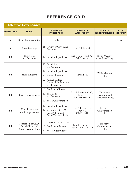|                  | <b>Effective Governance</b>                                            |                                                                                                                                                      |                                                      |                                                        |                              |
|------------------|------------------------------------------------------------------------|------------------------------------------------------------------------------------------------------------------------------------------------------|------------------------------------------------------|--------------------------------------------------------|------------------------------|
| <b>PRINCIPLE</b> | <b>TOPIC</b>                                                           | <b>RELATED</b><br><b>PRINCIPLES</b>                                                                                                                  | <b>FORM 990</b><br><b>AND 990-PF</b>                 | <b>POLICY</b><br><b>RECOMMENDED</b>                    | <b>MUST</b><br><b>COMPLY</b> |
| 8                | <b>Board Responsibilities</b>                                          | ALL                                                                                                                                                  |                                                      |                                                        | X                            |
| 9                | <b>Board Meetings</b>                                                  | 18 Review of Governing<br>Documents                                                                                                                  | Part VI, Line 8                                      |                                                        |                              |
| 10               | <b>Board Size</b><br>and Structure                                     | 12 Board Independence                                                                                                                                | Part I, Line 3 and Part<br>VI, Line 1a               | <b>Board Meeting</b><br>AttendancePolicy               |                              |
| Ш                | <b>Board Diversity</b>                                                 | 10 Board Size<br>and Structure<br>12 Board Independence<br>Financial Records<br>21<br>22 Annual Budget,<br>Financial Performance,<br>and Investments | Schedule E                                           | Whistleblower<br>Policy                                |                              |
| $\overline{2}$   | Board Independence                                                     | 3 Conflicts of interest<br>10 Board Size<br>and Structure<br>20 Board Compensation                                                                   | Part I, Line 4 and VI,<br>Line 1b<br>990-PF: Part XV | Document<br>Retention and<br><b>Destruction Policy</b> |                              |
| $\blacksquare$   | <b>CEO</b> Evaluation<br>and Compensation                              | 12 Board Independence<br>14 Separation of CEO,<br>Board Chair, and<br><b>Board Treasurer Roles</b>                                                   | Part VI, Line 15,<br>Part VII<br>990-PF: VIII        | Executive<br>Compensation<br>Policy                    |                              |
| $\blacksquare$   | Separation of CEO,<br>Board Chair, and<br><b>Board Treasurer Roles</b> | 1 Laws and Regulations<br>3 Conflicts of Interest<br>12 Board Independence                                                                           | Part 1, Line 4 and<br>Part VI, Line 1b, 2, 3         | Executive<br>Compensation<br>Policy                    |                              |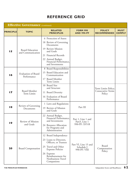|                  | <b>Effective Governance</b> (continued)     |                                                                                                                                                                                                   |                                                                   |                                                    |                              |
|------------------|---------------------------------------------|---------------------------------------------------------------------------------------------------------------------------------------------------------------------------------------------------|-------------------------------------------------------------------|----------------------------------------------------|------------------------------|
| <b>PRINCIPLE</b> | <b>TOPIC</b>                                | <b>RELATED</b><br><b>PRINCIPLES</b>                                                                                                                                                               | <b>FORM 990</b><br><b>AND 990-PF</b>                              | <b>POLICY</b><br><b>RECOMMENDED</b>                | <b>MUST</b><br><b>COMPLY</b> |
| 15               | <b>Board Education</b><br>and Communication | 6 Protection of Assets<br>18 Review of Governing<br>Documents<br>19 Review Mission<br>and Goals                                                                                                   |                                                                   |                                                    |                              |
|                  |                                             | 21 Financial Records<br>22 Annual Budget,<br>Financial Performance,<br>and Investments                                                                                                            |                                                                   |                                                    |                              |
| $\overline{16}$  | <b>Evaluation of Board</b><br>Performance   | 8 Board Responsibilities<br>15 Board Education and<br>Communication<br>17 Board Member<br>Term Limits                                                                                             |                                                                   |                                                    |                              |
| $\blacksquare$   | <b>Board Member</b><br><b>Term Limits</b>   | 10 Board Size<br>and Structure<br>11 Board Diversity<br>16 Evaluation of Board<br>Performance                                                                                                     |                                                                   | Term Limits Policy;<br>Consecutive Terms<br>Policy |                              |
| 18               | Review of Governing<br>Documents            | 1 Laws and Regulations<br>19 Review of Mission<br>and Goals                                                                                                                                       | Part III                                                          |                                                    |                              |
| 19               | Review of Mission<br>and Goals              | 22 Annual Budget,<br>Financial Performance,<br>and Investments<br>24 Resource Allocation<br>for Programs and<br>Administration                                                                    | Part 1, Line 1 and<br>Part <sub>3</sub> , Line 1<br>990-PF: XVI-B |                                                    |                              |
| 20               | <b>Board Compensation</b>                   | 12 Board Independence<br>23 Loans to Directors,<br>Officers, or Trustees<br>25 Travel and Other<br><b>Expense Policies</b><br>26 Expense<br>Reimbursement for<br>Nonbusiness Travel<br>Companions | Part VI, Line 15 and<br>Schedule J<br>990-PF: VIII                | Board<br>Compensation<br>Policy                    |                              |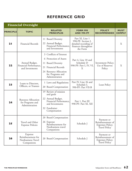| <b>Financial Oversight</b> |                                                                  |                                                                                                                                                                    |                                                                                                   |                                                                                   |                              |  |
|----------------------------|------------------------------------------------------------------|--------------------------------------------------------------------------------------------------------------------------------------------------------------------|---------------------------------------------------------------------------------------------------|-----------------------------------------------------------------------------------|------------------------------|--|
| <b>PRINCIPLE</b>           | <b>TOPIC</b>                                                     | <b>RELATED</b><br><b>PRINCIPLES</b>                                                                                                                                | <b>FORM 990</b><br><b>AND 990-PF</b>                                                              | <b>POLICY</b><br><b>RECOMMENDED</b>                                               | <b>MUST</b><br><b>COMPLY</b> |  |
| 2 <sub>l</sub>             | <b>Financial Records</b>                                         | 11 Board Diversity<br>22 Annual Budget,<br>Financial Performance,<br>and Investments                                                                               | Part XI, Line 1<br>990-PF: Section J,<br>detailed recording of<br>finances throughout<br>the Form |                                                                                   | X                            |  |
| 22                         | Annual Budget,<br>Financial Performance,<br>and Investments      | 3 Conflicts of Interest<br>6 Protection of Assets<br>11 Board Diversity<br>Financial Records<br>21<br>24 Resource Allocation<br>for Programs and<br>Administration | Part 4, Line 10 and<br>Schedule D<br>990-PF: Part I, IV, VI,<br>X                                 | Investment Policy;<br>Use of Reserves<br>Policy                                   | X                            |  |
| 23                         | Loans to Directors,<br>Officers, or Trustees                     | 1 Laws and Regulations<br>20 Board Compensation                                                                                                                    | Part IV, Line 26 and<br>Schedule L<br>990-PF: Part VII-B                                          | Loan Policy                                                                       |                              |  |
| 24                         | <b>Resource Allocation</b><br>for Programs and<br>Administration | 19 Review of mission<br>and goals<br>22 Annual Budget,<br>Financial Performance,<br>and Investments<br>32 Fundraiser<br>Compensation                               | Part 1, Part III<br>990-PF: Part XI, XII                                                          |                                                                                   |                              |  |
| 25                         | Travel and Other<br><b>Expense Policies</b>                      | 20 Board Compensation<br>26 Expense<br>Reimbursement for<br>Nonbusiness travel<br>Companions                                                                       | Schedule J                                                                                        | Payment or<br>Reimbursement of<br><b>Expenses Policy;</b><br><b>Travel Policy</b> |                              |  |
| 26                         | Expense<br>Reimbursement for<br>Nonbusiness Travel<br>Companions | 20 Board Compensation                                                                                                                                              | Schedule J                                                                                        | Payment or<br>Reimbursement of<br><b>Expenses Policy;</b><br><b>Travel Policy</b> |                              |  |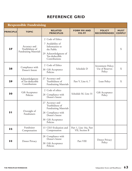| <b>Responsible Fundraising</b> |                                                                 |                                                                                                                                              |                                          |                                                        |                              |  |  |  |  |
|--------------------------------|-----------------------------------------------------------------|----------------------------------------------------------------------------------------------------------------------------------------------|------------------------------------------|--------------------------------------------------------|------------------------------|--|--|--|--|
| <b>PRINCIPLE</b>               | <b>TOPIC</b>                                                    | <b>RELATED</b><br><b>PRINCIPLES</b>                                                                                                          | <b>FORM 990 AND</b><br>990-PF            | <b>POLICY</b><br><b>RECOMMENDED</b>                    | <b>MUST</b><br><b>COMPLY</b> |  |  |  |  |
| 27                             | Accuracy and<br>Truthfulness of<br><b>Fundraising Materials</b> | 2 Code of Ethics<br>7 Availability of<br>Information to<br>the Public<br>29 Acknowledgment of<br>Tax-deductible<br>Contributions             |                                          |                                                        | X                            |  |  |  |  |
| 28                             | Compliance with<br>Donor's Intent                               | 2 Code of Ethics<br>30 Gift Acceptance<br>Policies                                                                                           | Schedule D                               | <b>Investment Policy;</b><br>Use of Reserves<br>Policy | X                            |  |  |  |  |
| 29                             | Acknowledgment<br>of Tax-deductible<br>Contributions            | Accuracy and<br>27<br>Truthfulness of<br><b>Fundraising Materials</b>                                                                        | Part V, Line 6, 7                        | Loan Policy                                            | X                            |  |  |  |  |
| 30                             | Gift Acceptance<br>Policies                                     | 2 Code of ethics<br>28 Compliance with<br>Donor's Intent                                                                                     | Schedule M, Line 31                      | Gift Acceptance<br>Policy                              |                              |  |  |  |  |
| 3 <sub>l</sub>                 | Oversight of<br>Fundraisers                                     | 27 Accuracy and<br>Truthfulness of<br><b>Fundraising Materials</b><br>28 Compliance with<br>Donor's Intent<br>30 Gift Acceptance<br>Policies |                                          |                                                        |                              |  |  |  |  |
| 32                             | Fundraiser<br>Compensation                                      | 13 CEO Evaluation and<br>Compensation                                                                                                        | Part 1, Line 16a, Part<br>VII, Section B |                                                        |                              |  |  |  |  |
| 33                             | Donor Privacy                                                   | 28 Compliance with<br>Donor's Intent<br>30 Gift Acceptance<br>Policies                                                                       | Part VIII                                | Donor Privacy<br>Policy                                |                              |  |  |  |  |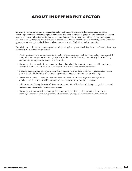# **[ABOUT INDEPENDENT SECTOR](http://www.independentsector.org/about/code.html)**

<span id="page-64-0"></span>Independent Sector is a nonprofit, nonpartisan coalition of hundreds of charities, foundations, and corporate philanthropy programs, collectively representing tens of thousands of charitable groups in every state across the nation. As the preeminent leadership organization where nonprofits and philanthropies from diverse fields of interest and endeavor come together, we play a critical role in the sector's ability and capacity to share knowledge, create innovative approaches and strategies, and collaborate to better serve the needs of individuals and communities.

Our mission is to advance the common good by leading, strengthening, and mobilizing the nonprofit and philanthropic community. Our overarching goals are to

- Work with members to communicate to key policy makers, the media, and the society at large the value of the nonprofit community's contributions, particularly on the critical role its organizations play on issues facing communities throughout the country and the world
- Encourage diverse organizations to come together and develop joint strategies around shared interests and a shared vision of a just and inclusive democracy of active citizens and vibrant institutions.
- Strengthen relationships between the charitable community and key federal officials to educate about public policies that build the ability of charitable organizations to serve communities more effectively.
- Inform and mobilize the nonprofit community to take effective action on legislative and regulatory developments that affect the ability of nonprofits and foundations to fulfill their missions.
- Address trends affecting the work of the nonprofit community with a view to helping manage challenges and capturing opportunities to strengthen our impact.
- Encourage a commitment by the nonprofit community to practices that demonstrate effectiveness and meaningful impact, support transparency, and reflect the highest possible standards of ethical conduct.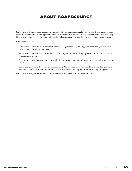# **ABOUT BOARDSOURCE**

<span id="page-65-0"></span>BoardSource is dedicated to advancing the public good by building exceptional nonprofit boards and inspiring board [service. BoardSource strives to support and promote excellence in board service, is the premier source of cutting-edge](http://www.boardsource.org/AboutUs.asp) thinking and resources related to nonprofit boards, and engages and develops the next generation of board leaders.

BoardSource provides

- Knowledge and resources for nonprofit leaders through workshops, training, assessment tools, an extensive website, and a membership program.
- Governance consultants who work directly with nonprofit leaders to design specialized solutions to meet an organization's needs.
- The world's largest, most comprehensive selection of material on nonprofit governance, including publications and CDs.
- An annual conference that convenes approximately 900 governance experts, board members, chief executives, and senior staff from around the world to discuss the newest thinking and practices in nonprofit governance.

BoardSource, a 501(c)(3) organization, served more than 600,000 nonprofit leaders in 2008.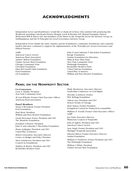# **ACKNOWLEDGMENTS**

<span id="page-66-0"></span>Independent Sector and BoardSource would like to thank all of those who assisted with producing this Workbook, including Celia Roady, Partner, Morgan, Lewis & Bockius LLP; Michael Peregrine, Partner, McDermott Will & Emery LLP; and members of the Panel on the Nonprofit Sector, the Advisory Group on Self-Regulation, and the IS Principles for Good Governance Advisory Group.

Independent Sector thanks the many charities, private foundations, community foundations, and corporate funders that have continued to support the implementation of the *Principles for Good Governance and Ethical Practice.*

#### [AARP](http://www.aarp.org/)

[American Cancer Society](http://www.cancer.org) [American Heart Association](www.americanheart.org) [Andrew Mellon Foundation](www.mellon.org) [Charles Stewart Mott Foundation](www.mott.org) [Chicago Community Trust](www.cct.org) [Cleveland Foundation](www.clevelandfoundation.org) [Edna McConnell Clark Foundation](www.emcf.org) [Ford Foundation](www.fordfound.org) [GE Foundation](www.ge.com/foundation/index.jsp)

[John D. and Catherine T. MacArthur Foundation](www.macfound.org/) [Kresge Foundation](www.kresge.org/) [Lumina Foundation for Education](www.luminafoundation.org/) [Mimi & Peter Haas Fund](www.ncg.org/about_list.html) [New York Community Trust](www.nycommunitytrust.org/) [Pittsburgh Foundation](www.pittsburghfoundation.org) [Rockefeller Brothers Fund](www.rbf.org/) [United Nations Foundation](www.unfoundation.org/) [United Way of America](www.liveunited.org/) [William and Flora Hewlett Foundation](www.hewlett.org)

#### **PANEL ON THE NONPROFIT SECTOR**

#### **Co-Conveners**

*Lorie A. Slutsky,* President New York Community Trust

*M. Cass Wheeler,* Former Chief Executive Officer American Heart Association

#### **Panel Members**

*Susan V. Berresford,* Former President Ford Foundation

*Paul Brest,* President, William and Flora Hewlett Foundation

*Linda Perryman Evans,* President and CEO The Meadows Foundation

*Jonathan F. Fanton,* President, John D. and Catherine T. MacArthur Foundation

*Brian Gallagher,* President and CEO United Way of America

*Robert Greenstein,* Executive Director Center on Budget and Policy Priorities

*Steve Gunderson,* President and CEO Council on Foundations

*Stephen B. Heintz,* President and CEO Rockefeller Brothers Fund

*Wade Henderson,* Executive Director Leadership Conference on Civil Rights

*Dorothy A. Johnson,* Trustee W.K. Kellogg Foundation

*Valerie Lies,* President and CEO Donors Forum of Chicago

*Paul Nelson,* Former President Evangelical Council for Financial Accountability

*William D. Novelli,* Former Chief Executive Officer AARP

*Jon Pratt,* Executive Director Minnesota Council of Nonprofits

*John R. Seffrin,* President and CEO American Cancer Society

*Sam Singh,* Former President and CEO Michigan Nonprofit Association

*Edward Skloot,* Former Executive Director Surdna Foundation

*William E.Trueheart,* Former President and CEO The Pittsburgh Foundation

*William S.White,* President Charles Stewart Mott Foundation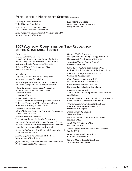#### **PANEL ON THE NONPROFIT SECTOR** (continued)

*Timothy E.Wirth,* President United Nations Foundation

*Gary L.Yates,* President and CEO The California Wellness Foundation

*Raul Yzaguirre,* Immediate Past President and CEO National Council of La Raza

#### **2007 ADVISORY COMMITTEE ON SELF-REGULATION OF THE CHARITABLE SECTOR**

#### **Co-Chairs**

*Joel L. Fleishman,* Director Samuel and Ronnie Heyman Center for Ethics, Public Policy and the Professions,Terry Sanford Institute of Public Policy, Duke University

*Rebecca W. Rimel,* President and CEO Pew Charitable Trusts,

#### **Members**

*Stephen M.Ahnen,* Senior Vice President American Hospital Association

*Willard Boyd,* Professor of Law and President Emeritus, College of Law, University of Iowa

*J.Todd Chasteen,* Former Vice President of Administration, Human Resources and General Counsel Samaritan's Purse

*Harvey Dale,* Director National Center on Philanthropy & the Law, and University Professor of Philanthropy and Law New York University School of Law

*Charles M. Elson,* Director John L.Weinberg Center for Corporate Governance, University of Delaware

*Virginia Esposito,* President The National Center for Family Philanthropy

*Marion R. Fremont-Smith,* Senior Research Fellow Hauser Center for Nonprofit Organizations, Kennedy School of Government, Harvard University

*Janne Gallagher,* Vice President and General Counsel Council on Foundations

*Merrill Gappmayer,* Chairman of the Board Intermountain Health Care

*Joyce Godwin,* Chair, Board Governance Committee Presbyterian Health Care Services

*Donald Haider,* Professor Management and Strategy, Kellogg School of Management, Northwestern University

*Scott Harshbarger,* Senior Counsel Proskauer Rose LLP

**Executive Director**

Independent Sector

*Diana Aviv,* President and CEO

*Sister Carol Keehan,* President and CEO Catholic Health Association of the United States

*Richard Klarberg,* President and CEO Council on Accreditation

*Colin Lacon,* President and CEO Northern California Grantmakers

*Carol Larson,* President and CEO David and Lucile Packard Foundation

*Richard Legon,* President Association of Governing Boards of Universities and Colleges

*Jennifer Leonard,* President and Executive Director Rochester Area Community Foundation

*William L. Minnix, Jr.,* President and CEO American Association of Homes and Services for the Aging

*David Ormstedt,* Counsel Wiggin and Dana LLP

*Michael Piraino,* Chief Executive Officer National CASA

*Mark Sidel,* Professor of Law University of Iowa

*Bruce Sievers,* Visiting Scholar and Lecturer Stanford University

*Father Larry Snyder,* President Catholic Charities USA

*Sterling Speirn,* President and CEO W.K. Kellogg Foundation